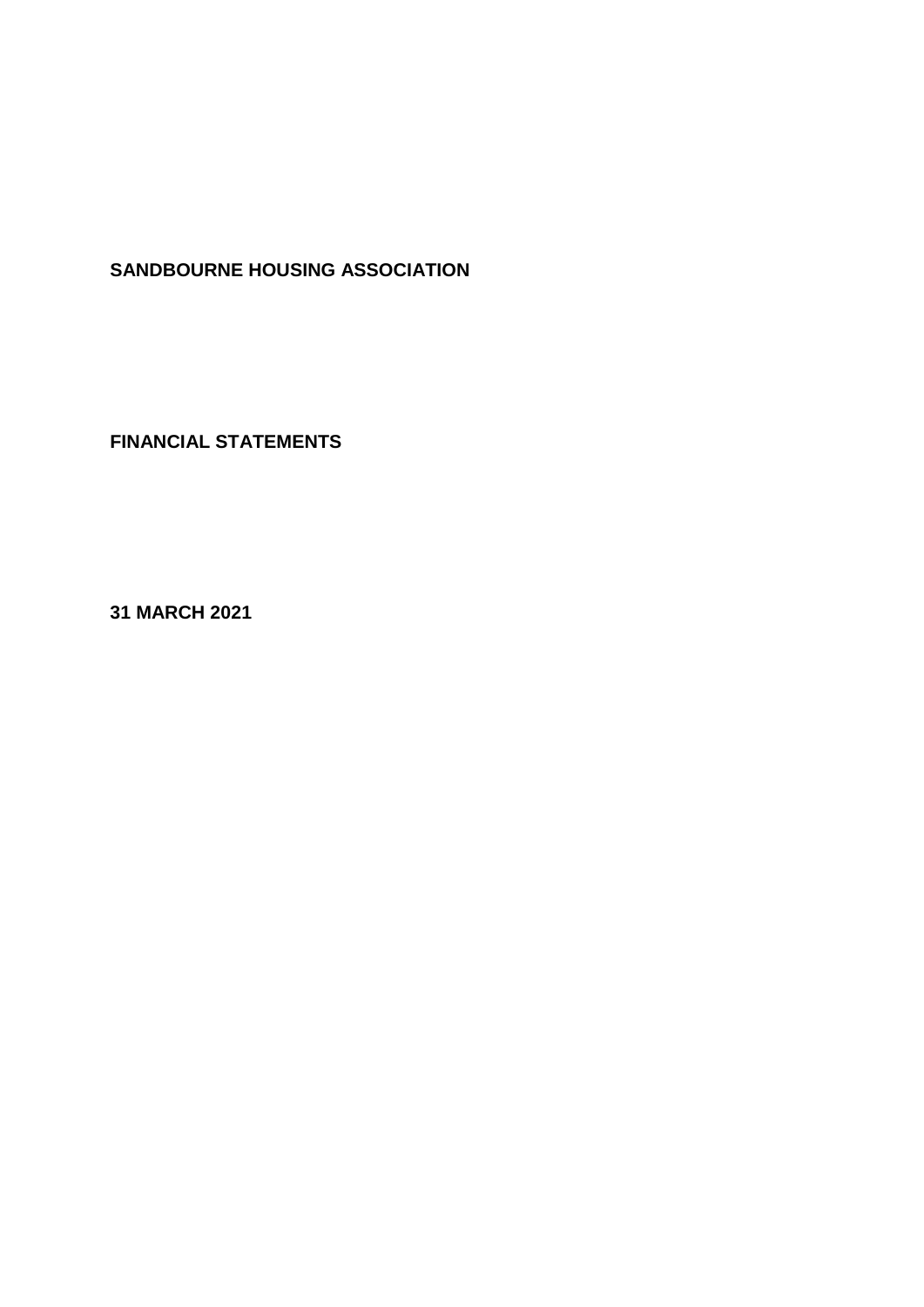# **SANDBOURNE HOUSING ASSOCIATION**

**FINANCIAL STATEMENTS**

**31 MARCH 2021**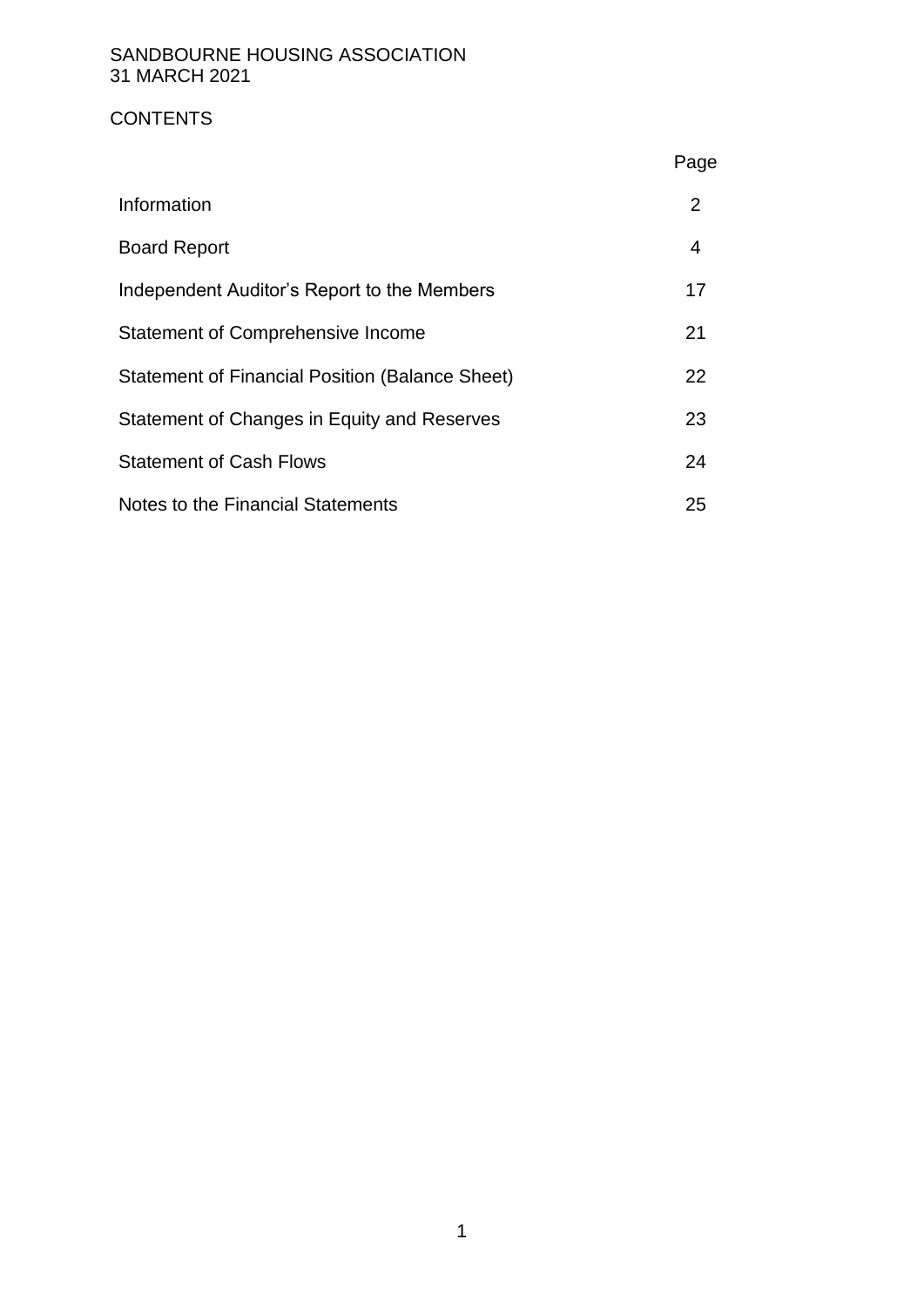# **CONTENTS**

|                                                        | Page |
|--------------------------------------------------------|------|
| Information                                            | 2    |
| <b>Board Report</b>                                    | 4    |
| Independent Auditor's Report to the Members            | 17   |
| Statement of Comprehensive Income                      | 21   |
| <b>Statement of Financial Position (Balance Sheet)</b> | 22   |
| Statement of Changes in Equity and Reserves            | 23   |
| <b>Statement of Cash Flows</b>                         | 24   |
| Notes to the Financial Statements                      | 25   |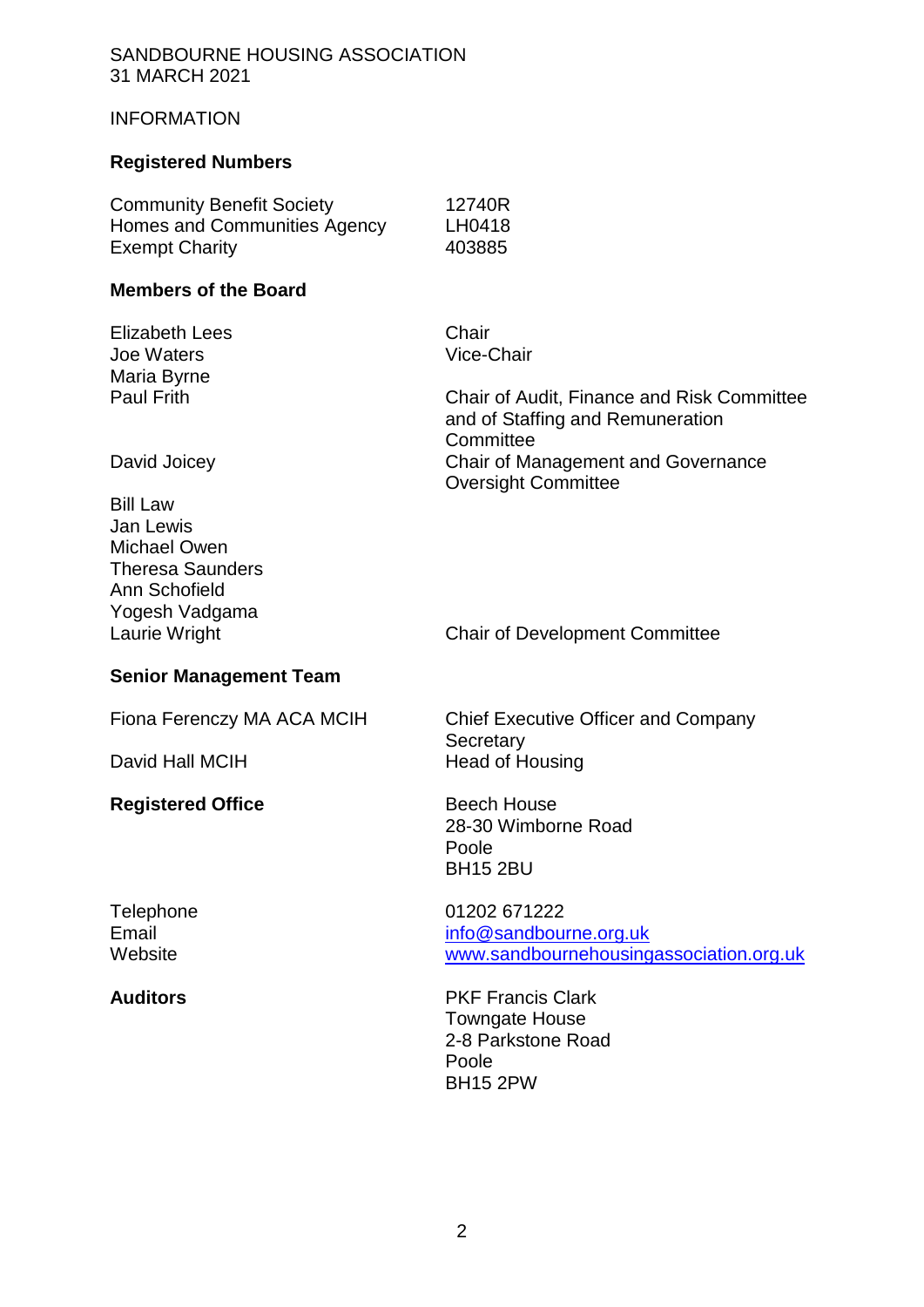### INFORMATION

# **Registered Numbers**

| <b>Community Benefit Society</b> | 12740R |
|----------------------------------|--------|
| Homes and Communities Agency     | LH0418 |
| <b>Exempt Charity</b>            | 403885 |

# **Members of the Board**

| <b>Elizabeth Lees</b><br>Joe Waters<br>Maria Byrne<br><b>Paul Frith</b>                        | Chair<br>Vice-Chair<br><b>Chair of Audit, Finance and Risk Committee</b><br>and of Staffing and Remuneration |
|------------------------------------------------------------------------------------------------|--------------------------------------------------------------------------------------------------------------|
| David Joicey<br><b>Bill Law</b><br>Jan Lewis<br><b>Michael Owen</b><br><b>Theresa Saunders</b> | Committee<br>Chair of Management and Governance<br><b>Oversight Committee</b>                                |
| Ann Schofield<br>Yogesh Vadgama<br>Laurie Wright<br><b>Senior Management Team</b>              | <b>Chair of Development Committee</b>                                                                        |
| Fiona Ferenczy MA ACA MCIH<br>David Hall MCIH                                                  | <b>Chief Executive Officer and Company</b><br>Secretary<br><b>Head of Housing</b>                            |
| <b>Registered Office</b>                                                                       | <b>Beech House</b><br>28-30 Wimborne Road<br>Poole<br><b>BH15 2BU</b>                                        |
| Telephone<br>Email<br>Website                                                                  | 01202 671222<br>info@sandbourne.org.uk<br>www.sandbournehousingassociation.org.uk                            |

**Auditors** PKF Francis Clark Towngate House 2-8 Parkstone Road Poole BH15 2PW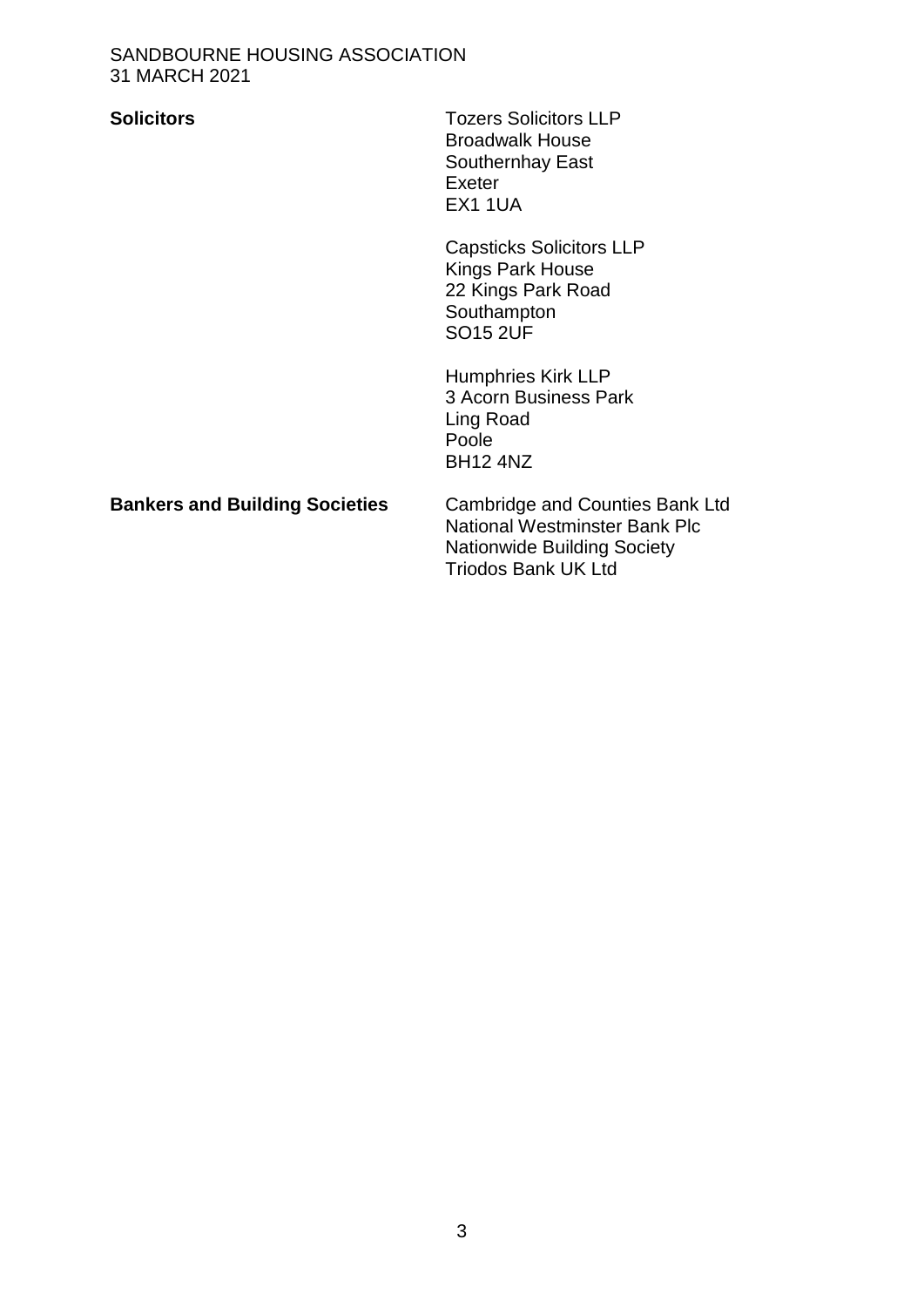**Solicitors** Tozers Solicitors LLP Broadwalk House Southernhay East Exeter EX1 1UA

> Capsticks Solicitors LLP Kings Park House 22 Kings Park Road Southampton SO15 2UF

Humphries Kirk LLP 3 Acorn Business Park Ling Road Poole BH12 4NZ

# **Bankers and Building Societies** Cambridge and Counties Bank Ltd

National Westminster Bank Plc Nationwide Building Society Triodos Bank UK Ltd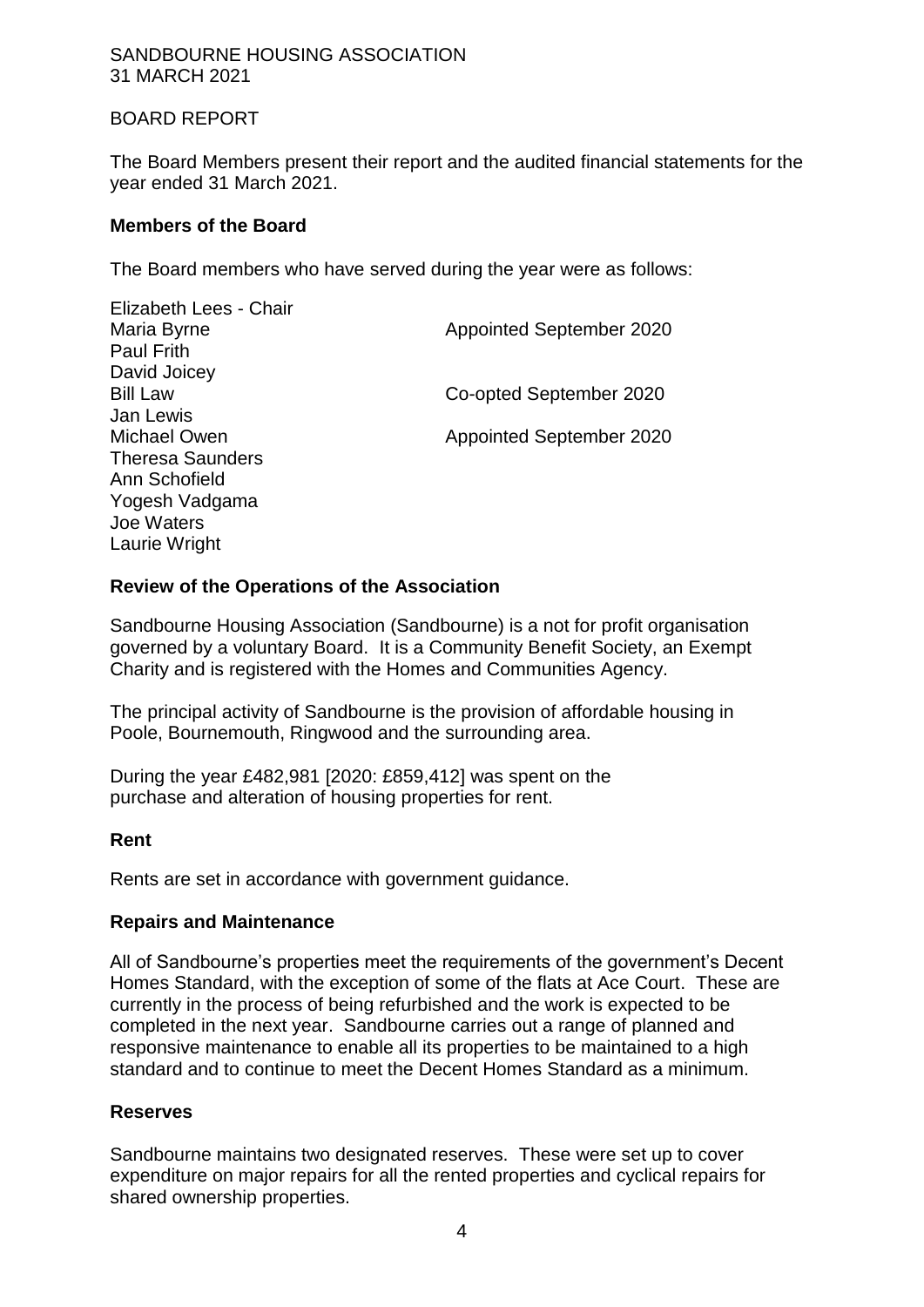# BOARD REPORT

The Board Members present their report and the audited financial statements for the year ended 31 March 2021.

#### **Members of the Board**

The Board members who have served during the year were as follows:

| Elizabeth Lees - Chair  |                                 |
|-------------------------|---------------------------------|
| Maria Byrne             | <b>Appointed September 2020</b> |
| <b>Paul Frith</b>       |                                 |
| David Joicey            |                                 |
| <b>Bill Law</b>         | Co-opted September 2020         |
| Jan Lewis               |                                 |
| Michael Owen            | <b>Appointed September 2020</b> |
| <b>Theresa Saunders</b> |                                 |
| Ann Schofield           |                                 |
| Yogesh Vadgama          |                                 |
| Joe Waters              |                                 |
| Laurie Wright           |                                 |

# **Review of the Operations of the Association**

Sandbourne Housing Association (Sandbourne) is a not for profit organisation governed by a voluntary Board. It is a Community Benefit Society, an Exempt Charity and is registered with the Homes and Communities Agency.

The principal activity of Sandbourne is the provision of affordable housing in Poole, Bournemouth, Ringwood and the surrounding area.

During the year £482,981 [2020: £859,412] was spent on the purchase and alteration of housing properties for rent.

#### **Rent**

Rents are set in accordance with government guidance.

#### **Repairs and Maintenance**

All of Sandbourne's properties meet the requirements of the government's Decent Homes Standard, with the exception of some of the flats at Ace Court. These are currently in the process of being refurbished and the work is expected to be completed in the next year. Sandbourne carries out a range of planned and responsive maintenance to enable all its properties to be maintained to a high standard and to continue to meet the Decent Homes Standard as a minimum.

#### **Reserves**

Sandbourne maintains two designated reserves. These were set up to cover expenditure on major repairs for all the rented properties and cyclical repairs for shared ownership properties.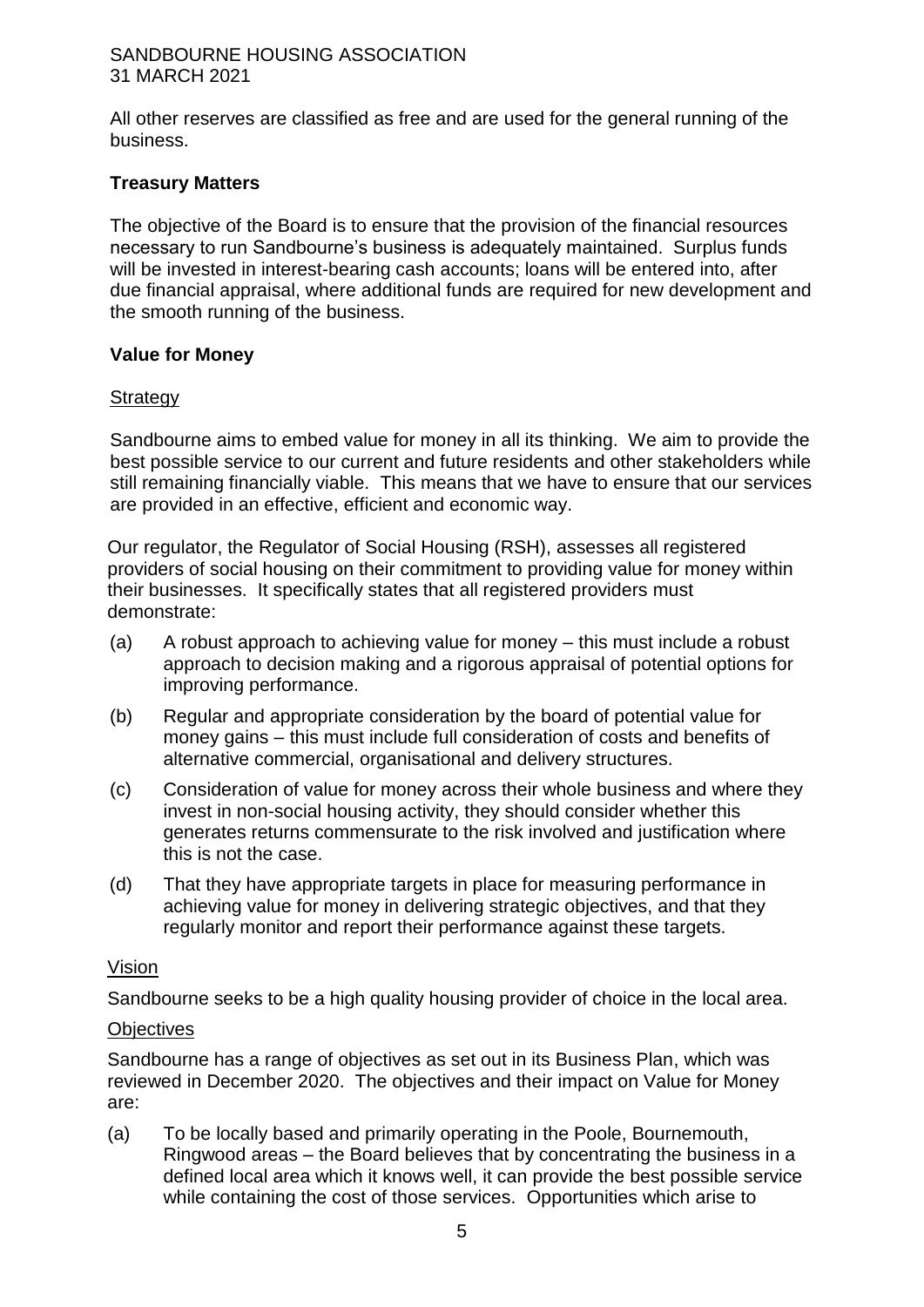All other reserves are classified as free and are used for the general running of the business.

# **Treasury Matters**

The objective of the Board is to ensure that the provision of the financial resources necessary to run Sandbourne's business is adequately maintained. Surplus funds will be invested in interest-bearing cash accounts; loans will be entered into, after due financial appraisal, where additional funds are required for new development and the smooth running of the business.

# **Value for Money**

#### **Strategy**

Sandbourne aims to embed value for money in all its thinking. We aim to provide the best possible service to our current and future residents and other stakeholders while still remaining financially viable. This means that we have to ensure that our services are provided in an effective, efficient and economic way.

Our regulator, the Regulator of Social Housing (RSH), assesses all registered providers of social housing on their commitment to providing value for money within their businesses. It specifically states that all registered providers must demonstrate:

- (a) A robust approach to achieving value for money this must include a robust approach to decision making and a rigorous appraisal of potential options for improving performance.
- (b) Regular and appropriate consideration by the board of potential value for money gains – this must include full consideration of costs and benefits of alternative commercial, organisational and delivery structures.
- (c) Consideration of value for money across their whole business and where they invest in non-social housing activity, they should consider whether this generates returns commensurate to the risk involved and justification where this is not the case.
- (d) That they have appropriate targets in place for measuring performance in achieving value for money in delivering strategic objectives, and that they regularly monitor and report their performance against these targets.

#### Vision

Sandbourne seeks to be a high quality housing provider of choice in the local area.

# **Objectives**

Sandbourne has a range of objectives as set out in its Business Plan, which was reviewed in December 2020. The objectives and their impact on Value for Money are:

(a) To be locally based and primarily operating in the Poole, Bournemouth, Ringwood areas – the Board believes that by concentrating the business in a defined local area which it knows well, it can provide the best possible service while containing the cost of those services. Opportunities which arise to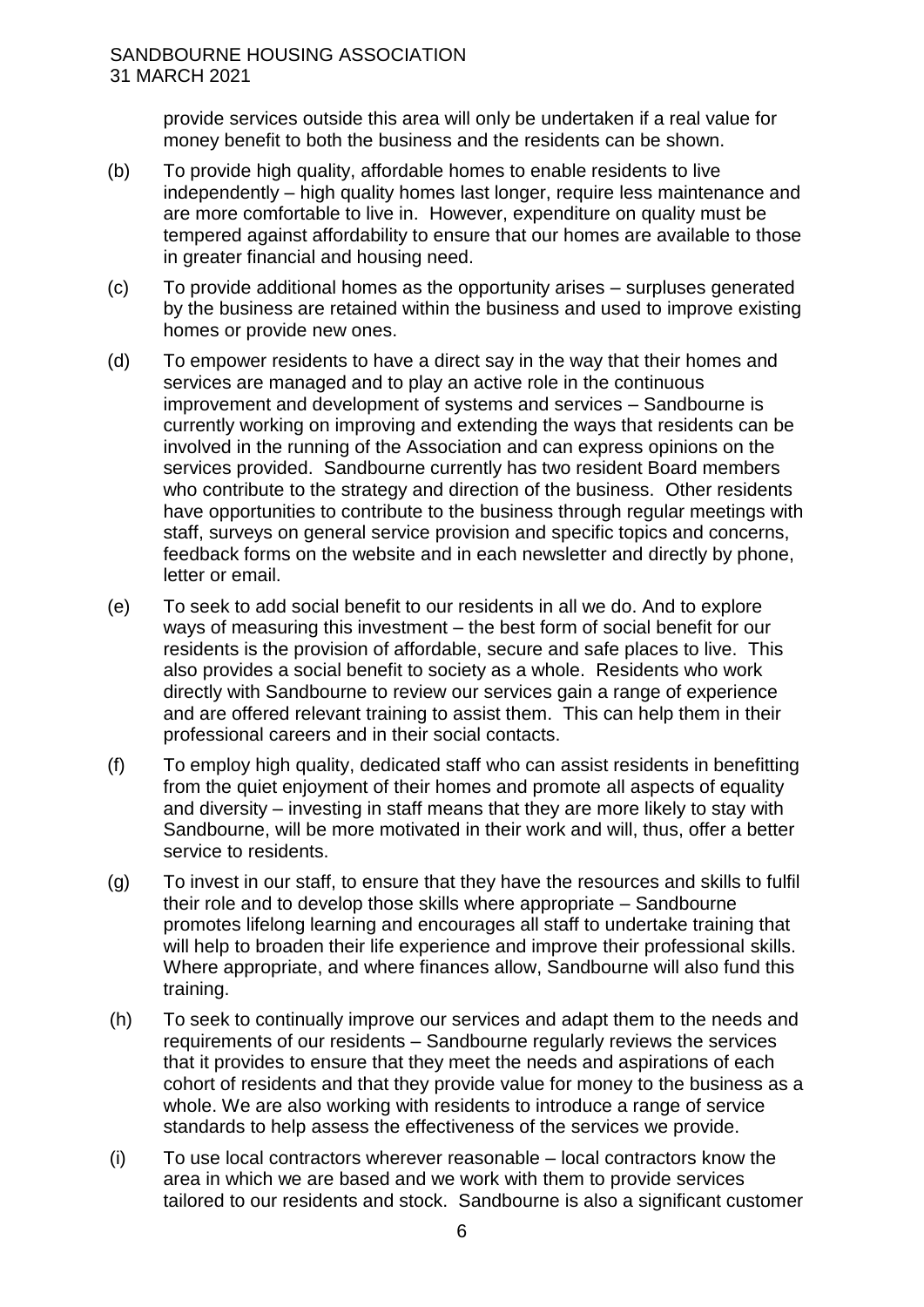provide services outside this area will only be undertaken if a real value for money benefit to both the business and the residents can be shown.

- (b) To provide high quality, affordable homes to enable residents to live independently – high quality homes last longer, require less maintenance and are more comfortable to live in. However, expenditure on quality must be tempered against affordability to ensure that our homes are available to those in greater financial and housing need.
- (c) To provide additional homes as the opportunity arises surpluses generated by the business are retained within the business and used to improve existing homes or provide new ones.
- (d) To empower residents to have a direct say in the way that their homes and services are managed and to play an active role in the continuous improvement and development of systems and services – Sandbourne is currently working on improving and extending the ways that residents can be involved in the running of the Association and can express opinions on the services provided. Sandbourne currently has two resident Board members who contribute to the strategy and direction of the business. Other residents have opportunities to contribute to the business through regular meetings with staff, surveys on general service provision and specific topics and concerns, feedback forms on the website and in each newsletter and directly by phone, letter or email.
- (e) To seek to add social benefit to our residents in all we do. And to explore ways of measuring this investment – the best form of social benefit for our residents is the provision of affordable, secure and safe places to live. This also provides a social benefit to society as a whole. Residents who work directly with Sandbourne to review our services gain a range of experience and are offered relevant training to assist them. This can help them in their professional careers and in their social contacts.
- (f) To employ high quality, dedicated staff who can assist residents in benefitting from the quiet enjoyment of their homes and promote all aspects of equality and diversity – investing in staff means that they are more likely to stay with Sandbourne, will be more motivated in their work and will, thus, offer a better service to residents.
- (g) To invest in our staff, to ensure that they have the resources and skills to fulfil their role and to develop those skills where appropriate – Sandbourne promotes lifelong learning and encourages all staff to undertake training that will help to broaden their life experience and improve their professional skills. Where appropriate, and where finances allow, Sandbourne will also fund this training.
- (h) To seek to continually improve our services and adapt them to the needs and requirements of our residents – Sandbourne regularly reviews the services that it provides to ensure that they meet the needs and aspirations of each cohort of residents and that they provide value for money to the business as a whole. We are also working with residents to introduce a range of service standards to help assess the effectiveness of the services we provide.
- (i) To use local contractors wherever reasonable local contractors know the area in which we are based and we work with them to provide services tailored to our residents and stock. Sandbourne is also a significant customer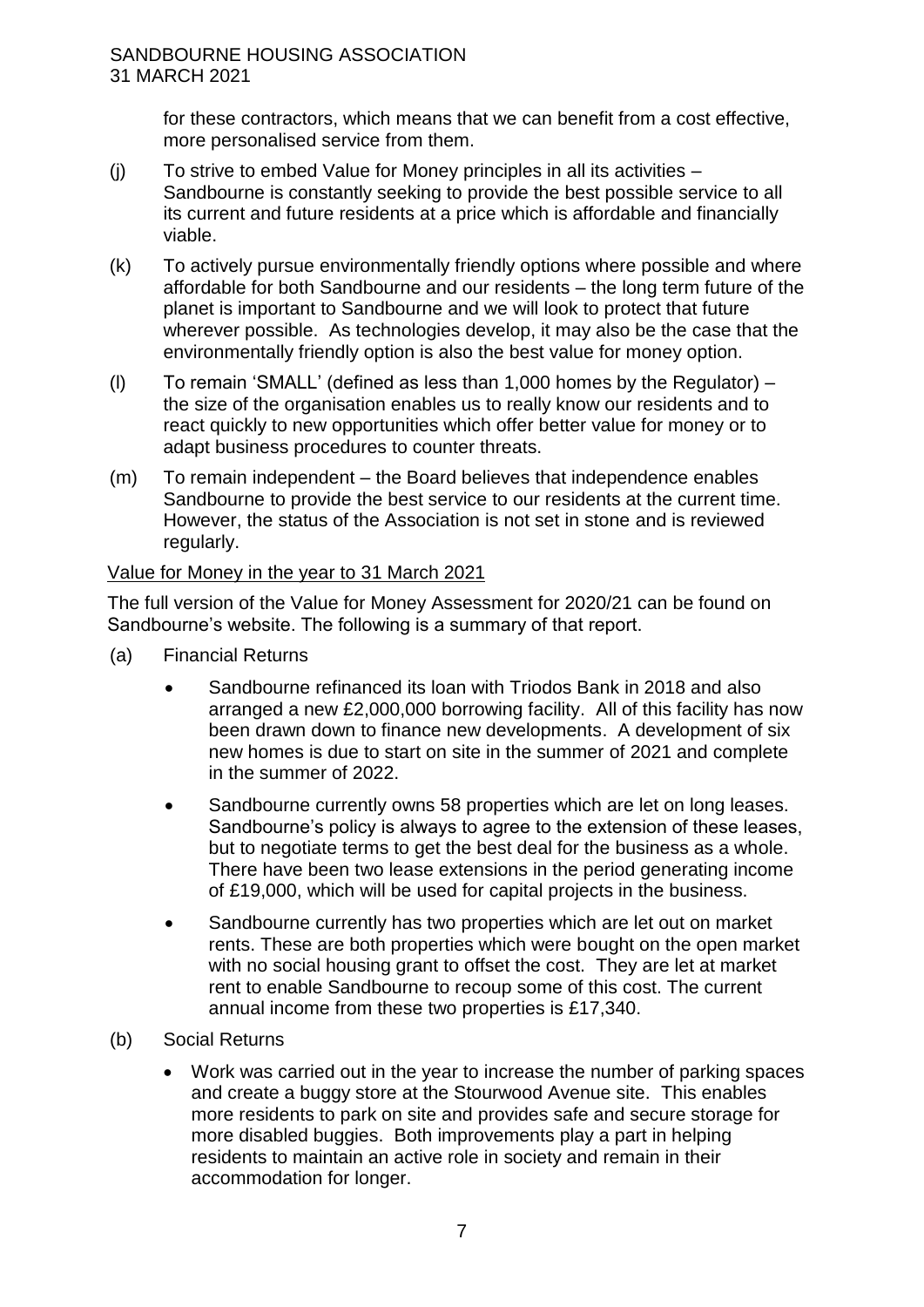for these contractors, which means that we can benefit from a cost effective, more personalised service from them.

- (j) To strive to embed Value for Money principles in all its activities Sandbourne is constantly seeking to provide the best possible service to all its current and future residents at a price which is affordable and financially viable.
- (k) To actively pursue environmentally friendly options where possible and where affordable for both Sandbourne and our residents – the long term future of the planet is important to Sandbourne and we will look to protect that future wherever possible. As technologies develop, it may also be the case that the environmentally friendly option is also the best value for money option.
- (l) To remain 'SMALL' (defined as less than 1,000 homes by the Regulator) the size of the organisation enables us to really know our residents and to react quickly to new opportunities which offer better value for money or to adapt business procedures to counter threats.
- (m) To remain independent the Board believes that independence enables Sandbourne to provide the best service to our residents at the current time. However, the status of the Association is not set in stone and is reviewed regularly.

# Value for Money in the year to 31 March 2021

The full version of the Value for Money Assessment for 2020/21 can be found on Sandbourne's website. The following is a summary of that report.

- (a) Financial Returns
	- Sandbourne refinanced its loan with Triodos Bank in 2018 and also arranged a new £2,000,000 borrowing facility. All of this facility has now been drawn down to finance new developments. A development of six new homes is due to start on site in the summer of 2021 and complete in the summer of 2022.
	- Sandbourne currently owns 58 properties which are let on long leases. Sandbourne's policy is always to agree to the extension of these leases, but to negotiate terms to get the best deal for the business as a whole. There have been two lease extensions in the period generating income of £19,000, which will be used for capital projects in the business.
	- Sandbourne currently has two properties which are let out on market rents. These are both properties which were bought on the open market with no social housing grant to offset the cost. They are let at market rent to enable Sandbourne to recoup some of this cost. The current annual income from these two properties is £17,340.
- (b) Social Returns
	- Work was carried out in the year to increase the number of parking spaces and create a buggy store at the Stourwood Avenue site. This enables more residents to park on site and provides safe and secure storage for more disabled buggies. Both improvements play a part in helping residents to maintain an active role in society and remain in their accommodation for longer.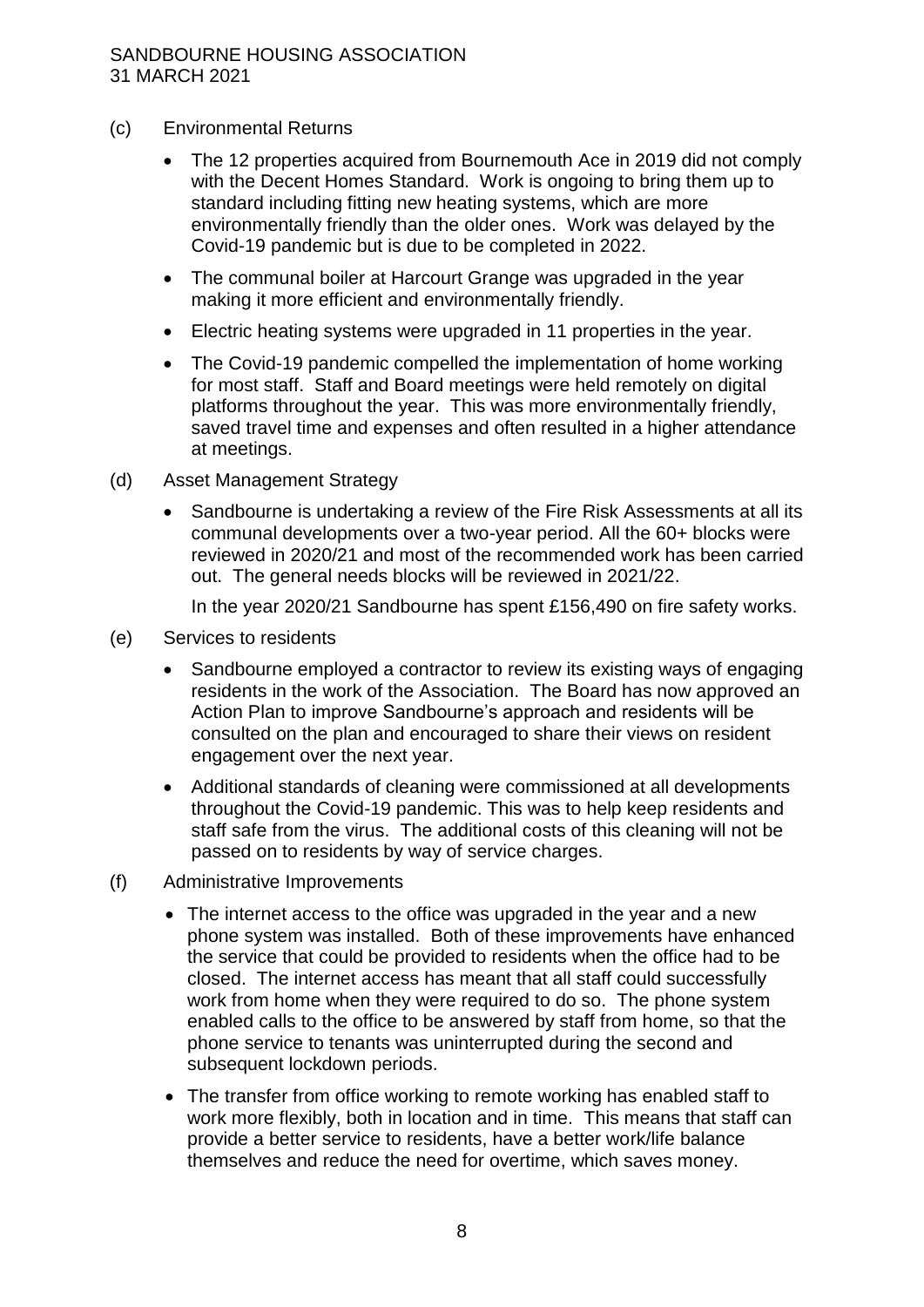- (c) Environmental Returns
	- The 12 properties acquired from Bournemouth Ace in 2019 did not comply with the Decent Homes Standard. Work is ongoing to bring them up to standard including fitting new heating systems, which are more environmentally friendly than the older ones. Work was delayed by the Covid-19 pandemic but is due to be completed in 2022.
	- The communal boiler at Harcourt Grange was upgraded in the year making it more efficient and environmentally friendly.
	- Electric heating systems were upgraded in 11 properties in the year.
	- The Covid-19 pandemic compelled the implementation of home working for most staff. Staff and Board meetings were held remotely on digital platforms throughout the year. This was more environmentally friendly, saved travel time and expenses and often resulted in a higher attendance at meetings.
- (d) Asset Management Strategy
	- Sandbourne is undertaking a review of the Fire Risk Assessments at all its communal developments over a two-year period. All the 60+ blocks were reviewed in 2020/21 and most of the recommended work has been carried out. The general needs blocks will be reviewed in 2021/22.

In the year 2020/21 Sandbourne has spent £156,490 on fire safety works.

- (e) Services to residents
	- Sandbourne employed a contractor to review its existing ways of engaging residents in the work of the Association. The Board has now approved an Action Plan to improve Sandbourne's approach and residents will be consulted on the plan and encouraged to share their views on resident engagement over the next year.
	- Additional standards of cleaning were commissioned at all developments throughout the Covid-19 pandemic. This was to help keep residents and staff safe from the virus. The additional costs of this cleaning will not be passed on to residents by way of service charges.
- (f) Administrative Improvements
	- The internet access to the office was upgraded in the year and a new phone system was installed. Both of these improvements have enhanced the service that could be provided to residents when the office had to be closed. The internet access has meant that all staff could successfully work from home when they were required to do so. The phone system enabled calls to the office to be answered by staff from home, so that the phone service to tenants was uninterrupted during the second and subsequent lockdown periods.
	- The transfer from office working to remote working has enabled staff to work more flexibly, both in location and in time. This means that staff can provide a better service to residents, have a better work/life balance themselves and reduce the need for overtime, which saves money.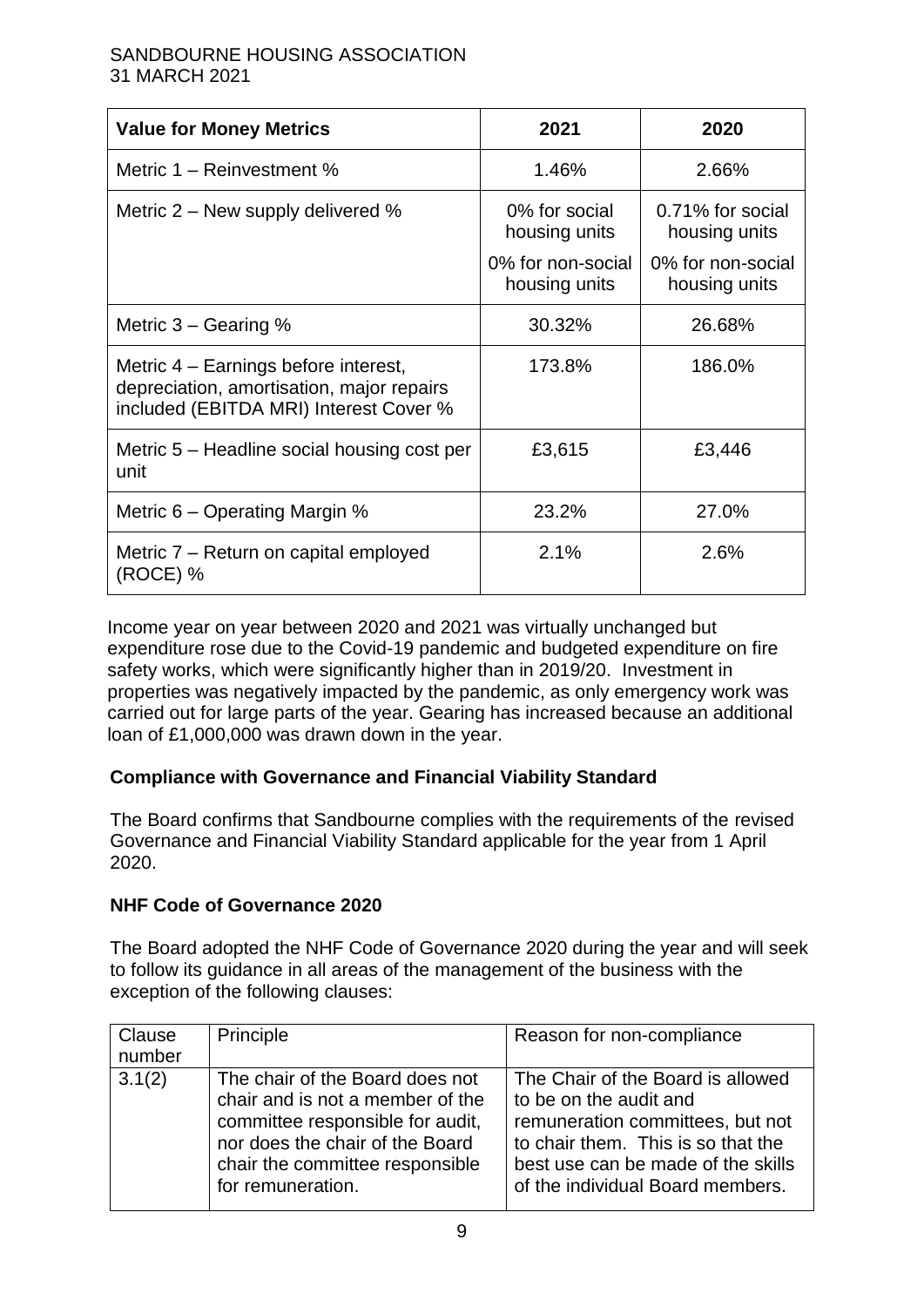| <b>Value for Money Metrics</b>                                                                                              | 2021                               | 2020                               |
|-----------------------------------------------------------------------------------------------------------------------------|------------------------------------|------------------------------------|
| Metric 1 – Reinvestment %                                                                                                   | 1.46%                              | 2.66%                              |
| Metric $2 -$ New supply delivered %                                                                                         | 0% for social<br>housing units     | 0.71% for social<br>housing units  |
|                                                                                                                             | 0% for non-social<br>housing units | 0% for non-social<br>housing units |
| Metric $3 -$ Gearing %                                                                                                      | 30.32%                             | 26.68%                             |
| Metric 4 – Earnings before interest,<br>depreciation, amortisation, major repairs<br>included (EBITDA MRI) Interest Cover % | 173.8%                             | 186.0%                             |
| Metric 5 – Headline social housing cost per<br>unit                                                                         | £3,615                             | £3,446                             |
| Metric $6$ – Operating Margin %                                                                                             | 23.2%                              | 27.0%                              |
| Metric 7 – Return on capital employed<br>(ROCE) %                                                                           | 2.1%                               | 2.6%                               |

Income year on year between 2020 and 2021 was virtually unchanged but expenditure rose due to the Covid-19 pandemic and budgeted expenditure on fire safety works, which were significantly higher than in 2019/20. Investment in properties was negatively impacted by the pandemic, as only emergency work was carried out for large parts of the year. Gearing has increased because an additional loan of £1,000,000 was drawn down in the year.

# **Compliance with Governance and Financial Viability Standard**

The Board confirms that Sandbourne complies with the requirements of the revised Governance and Financial Viability Standard applicable for the year from 1 April 2020.

# **NHF Code of Governance 2020**

The Board adopted the NHF Code of Governance 2020 during the year and will seek to follow its guidance in all areas of the management of the business with the exception of the following clauses:

| Clause<br>number | Principle                                                                                                                                                                                          | Reason for non-compliance                                                                                                                                                                                       |
|------------------|----------------------------------------------------------------------------------------------------------------------------------------------------------------------------------------------------|-----------------------------------------------------------------------------------------------------------------------------------------------------------------------------------------------------------------|
| 3.1(2)           | The chair of the Board does not<br>chair and is not a member of the<br>committee responsible for audit,<br>nor does the chair of the Board<br>chair the committee responsible<br>for remuneration. | The Chair of the Board is allowed<br>to be on the audit and<br>remuneration committees, but not<br>to chair them. This is so that the<br>best use can be made of the skills<br>of the individual Board members. |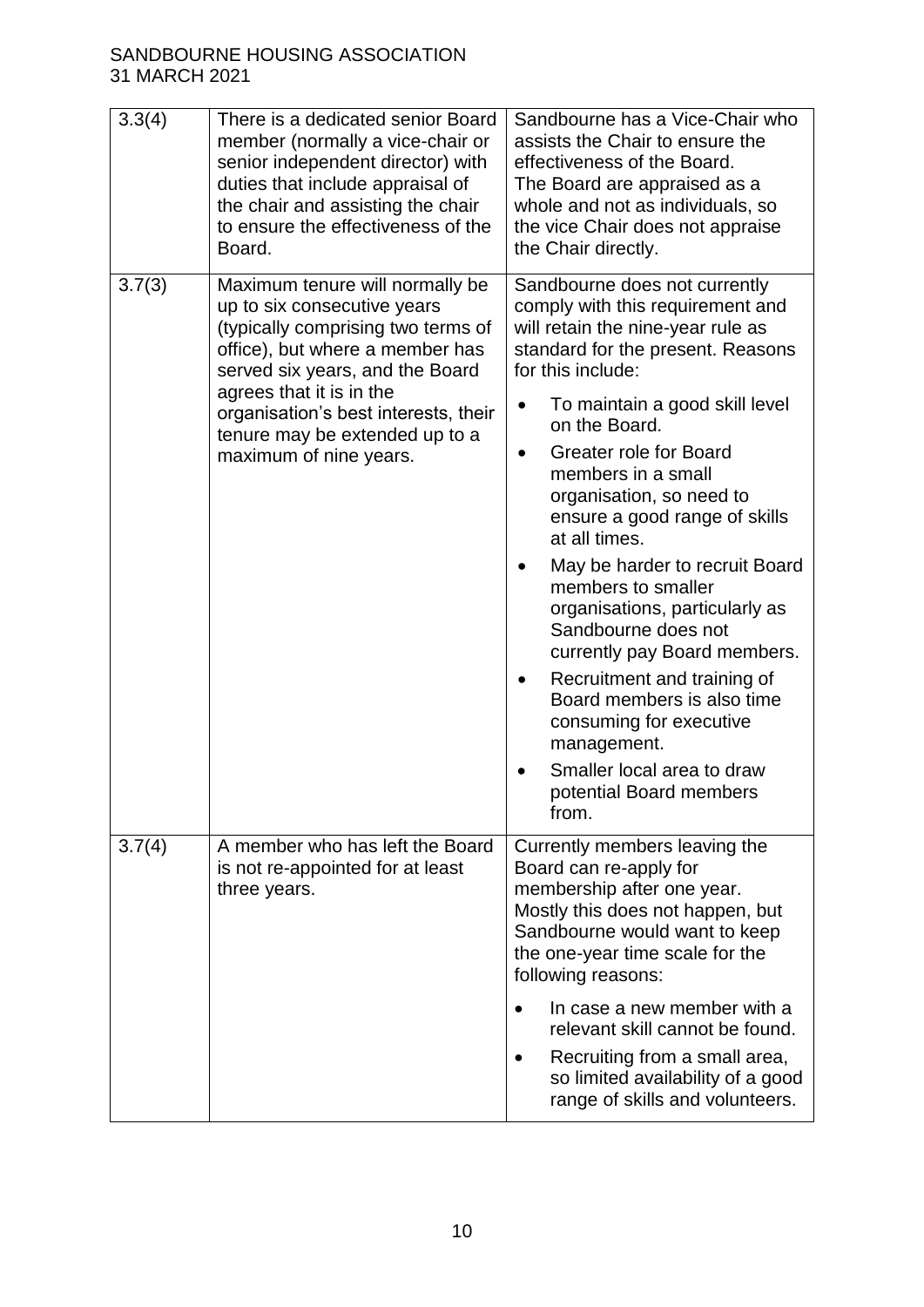| 3.3(4) | There is a dedicated senior Board<br>member (normally a vice-chair or                                                                                                                                                                                                                                      | Sandbourne has a Vice-Chair who<br>assists the Chair to ensure the                                                                                                                                                                                                                                                                                                                                                                                                                                                                                                                                                                                                |
|--------|------------------------------------------------------------------------------------------------------------------------------------------------------------------------------------------------------------------------------------------------------------------------------------------------------------|-------------------------------------------------------------------------------------------------------------------------------------------------------------------------------------------------------------------------------------------------------------------------------------------------------------------------------------------------------------------------------------------------------------------------------------------------------------------------------------------------------------------------------------------------------------------------------------------------------------------------------------------------------------------|
|        | senior independent director) with<br>duties that include appraisal of<br>the chair and assisting the chair<br>to ensure the effectiveness of the<br>Board.                                                                                                                                                 | effectiveness of the Board.<br>The Board are appraised as a<br>whole and not as individuals, so<br>the vice Chair does not appraise<br>the Chair directly.                                                                                                                                                                                                                                                                                                                                                                                                                                                                                                        |
| 3.7(3) | Maximum tenure will normally be<br>up to six consecutive years<br>(typically comprising two terms of<br>office), but where a member has<br>served six years, and the Board<br>agrees that it is in the<br>organisation's best interests, their<br>tenure may be extended up to a<br>maximum of nine years. | Sandbourne does not currently<br>comply with this requirement and<br>will retain the nine-year rule as<br>standard for the present. Reasons<br>for this include:<br>To maintain a good skill level<br>$\bullet$<br>on the Board.<br>Greater role for Board<br>$\bullet$<br>members in a small<br>organisation, so need to<br>ensure a good range of skills<br>at all times.<br>May be harder to recruit Board<br>members to smaller<br>organisations, particularly as<br>Sandbourne does not<br>currently pay Board members.<br>Recruitment and training of<br>Board members is also time<br>consuming for executive<br>management.<br>Smaller local area to draw |
|        |                                                                                                                                                                                                                                                                                                            | potential Board members<br>from.                                                                                                                                                                                                                                                                                                                                                                                                                                                                                                                                                                                                                                  |
| 3.7(4) | A member who has left the Board<br>is not re-appointed for at least<br>three years.                                                                                                                                                                                                                        | Currently members leaving the<br>Board can re-apply for<br>membership after one year.<br>Mostly this does not happen, but<br>Sandbourne would want to keep<br>the one-year time scale for the<br>following reasons:<br>In case a new member with a<br>$\bullet$<br>relevant skill cannot be found.<br>Recruiting from a small area,<br>$\bullet$<br>so limited availability of a good                                                                                                                                                                                                                                                                             |
|        |                                                                                                                                                                                                                                                                                                            | range of skills and volunteers.                                                                                                                                                                                                                                                                                                                                                                                                                                                                                                                                                                                                                                   |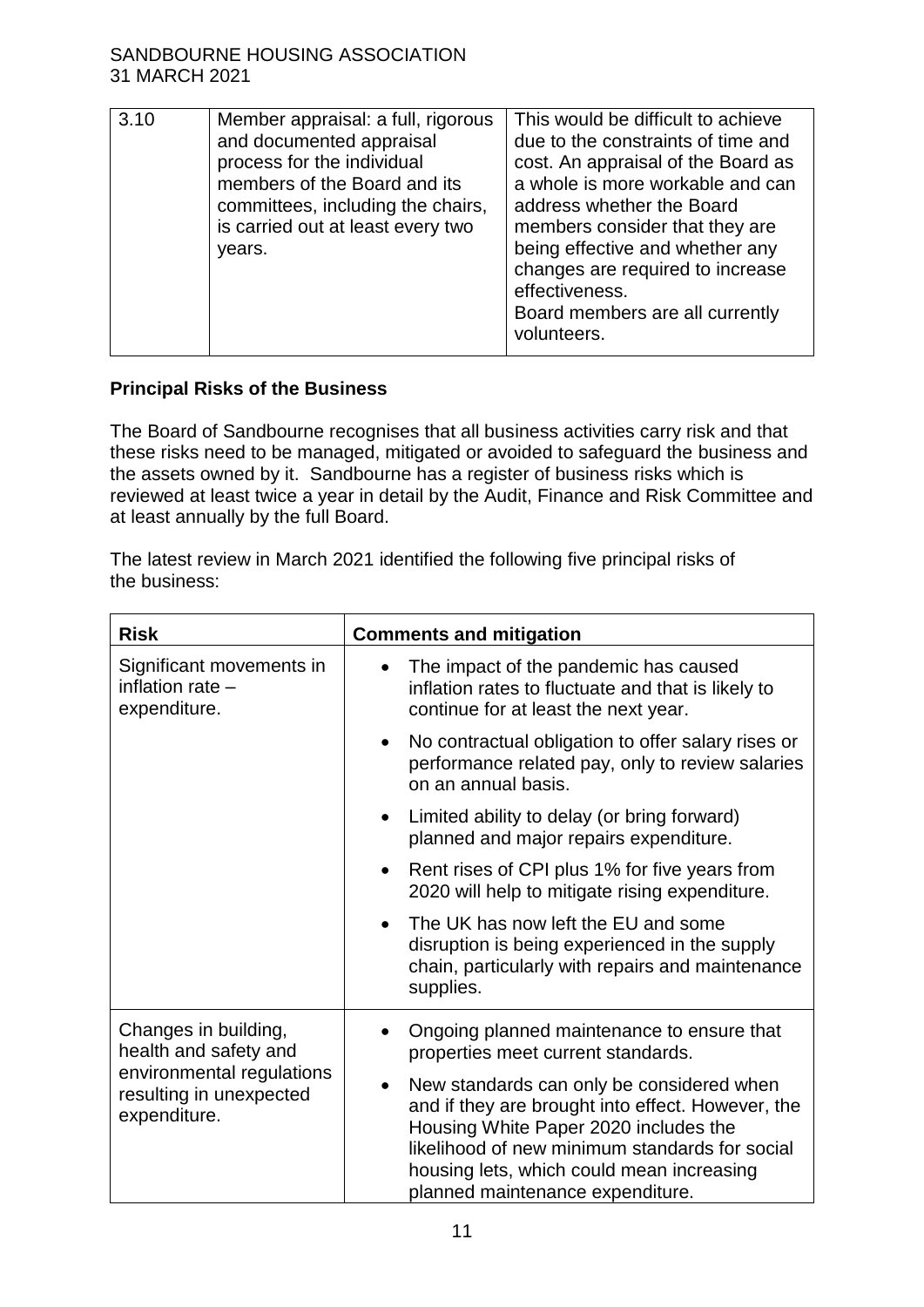| 3.10 | Member appraisal: a full, rigorous<br>and documented appraisal<br>process for the individual<br>members of the Board and its<br>committees, including the chairs,<br>is carried out at least every two<br>years. | This would be difficult to achieve<br>due to the constraints of time and<br>cost. An appraisal of the Board as<br>a whole is more workable and can<br>address whether the Board<br>members consider that they are<br>being effective and whether any<br>changes are required to increase<br>effectiveness.<br>Board members are all currently<br>volunteers. |
|------|------------------------------------------------------------------------------------------------------------------------------------------------------------------------------------------------------------------|--------------------------------------------------------------------------------------------------------------------------------------------------------------------------------------------------------------------------------------------------------------------------------------------------------------------------------------------------------------|
|      |                                                                                                                                                                                                                  |                                                                                                                                                                                                                                                                                                                                                              |

# **Principal Risks of the Business**

The Board of Sandbourne recognises that all business activities carry risk and that these risks need to be managed, mitigated or avoided to safeguard the business and the assets owned by it. Sandbourne has a register of business risks which is reviewed at least twice a year in detail by the Audit, Finance and Risk Committee and at least annually by the full Board.

The latest review in March 2021 identified the following five principal risks of the business:

| <b>Risk</b>                                                                                                                        | <b>Comments and mitigation</b>                                                                                                                                                                                                                                             |
|------------------------------------------------------------------------------------------------------------------------------------|----------------------------------------------------------------------------------------------------------------------------------------------------------------------------------------------------------------------------------------------------------------------------|
| Significant movements in<br>inflation rate -<br>expenditure.                                                                       | The impact of the pandemic has caused<br>inflation rates to fluctuate and that is likely to<br>continue for at least the next year.                                                                                                                                        |
|                                                                                                                                    | No contractual obligation to offer salary rises or<br>$\bullet$<br>performance related pay, only to review salaries<br>on an annual basis.                                                                                                                                 |
|                                                                                                                                    | Limited ability to delay (or bring forward)<br>$\bullet$<br>planned and major repairs expenditure.                                                                                                                                                                         |
|                                                                                                                                    | Rent rises of CPI plus 1% for five years from<br>2020 will help to mitigate rising expenditure.                                                                                                                                                                            |
|                                                                                                                                    | The UK has now left the EU and some<br>disruption is being experienced in the supply<br>chain, particularly with repairs and maintenance<br>supplies.                                                                                                                      |
| Changes in building,<br>health and safety and<br>environmental regulations<br>$\bullet$<br>resulting in unexpected<br>expenditure. | Ongoing planned maintenance to ensure that<br>properties meet current standards.                                                                                                                                                                                           |
|                                                                                                                                    | New standards can only be considered when<br>and if they are brought into effect. However, the<br>Housing White Paper 2020 includes the<br>likelihood of new minimum standards for social<br>housing lets, which could mean increasing<br>planned maintenance expenditure. |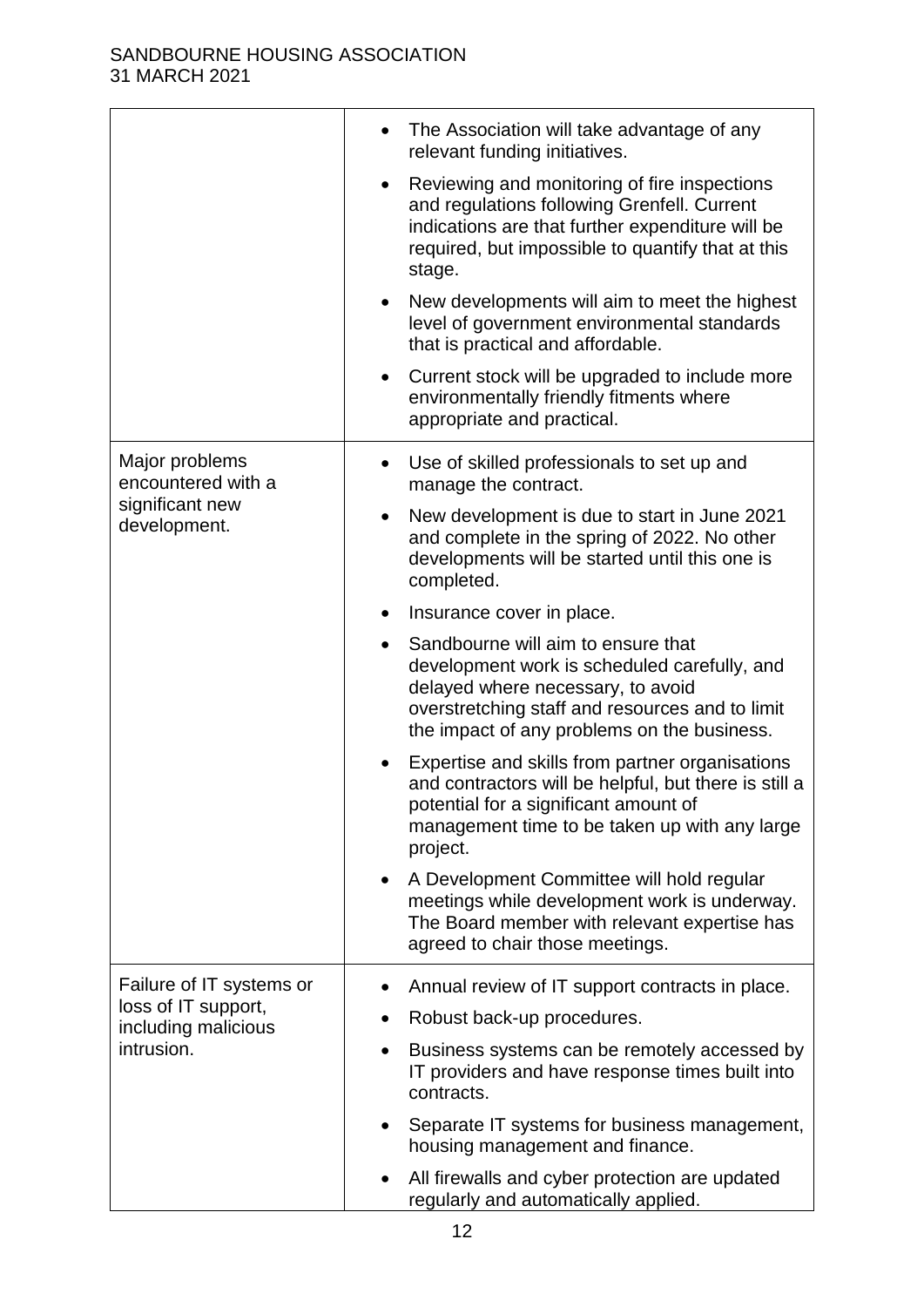|                                                                         | The Association will take advantage of any<br>relevant funding initiatives.                                                                                                                                                            |
|-------------------------------------------------------------------------|----------------------------------------------------------------------------------------------------------------------------------------------------------------------------------------------------------------------------------------|
|                                                                         | Reviewing and monitoring of fire inspections<br>and regulations following Grenfell. Current<br>indications are that further expenditure will be<br>required, but impossible to quantify that at this<br>stage.                         |
|                                                                         | New developments will aim to meet the highest<br>$\bullet$<br>level of government environmental standards<br>that is practical and affordable.                                                                                         |
|                                                                         | Current stock will be upgraded to include more<br>$\bullet$<br>environmentally friendly fitments where<br>appropriate and practical.                                                                                                   |
| Major problems<br>encountered with a<br>significant new<br>development. | Use of skilled professionals to set up and<br>manage the contract.                                                                                                                                                                     |
|                                                                         | New development is due to start in June 2021<br>$\bullet$<br>and complete in the spring of 2022. No other<br>developments will be started until this one is<br>completed.                                                              |
|                                                                         | Insurance cover in place.                                                                                                                                                                                                              |
|                                                                         | Sandbourne will aim to ensure that<br>$\bullet$<br>development work is scheduled carefully, and<br>delayed where necessary, to avoid<br>overstretching staff and resources and to limit<br>the impact of any problems on the business. |
|                                                                         | Expertise and skills from partner organisations<br>and contractors will be helpful, but there is still a<br>potential for a significant amount of<br>management time to be taken up with any large<br>project.                         |
|                                                                         | A Development Committee will hold regular<br>meetings while development work is underway.<br>The Board member with relevant expertise has<br>agreed to chair those meetings.                                                           |
| Failure of IT systems or                                                | Annual review of IT support contracts in place.                                                                                                                                                                                        |
| loss of IT support,<br>including malicious                              | Robust back-up procedures.<br>$\bullet$                                                                                                                                                                                                |
| intrusion.                                                              | Business systems can be remotely accessed by<br>IT providers and have response times built into<br>contracts.                                                                                                                          |
|                                                                         | Separate IT systems for business management,<br>housing management and finance.                                                                                                                                                        |
|                                                                         | All firewalls and cyber protection are updated<br>regularly and automatically applied.                                                                                                                                                 |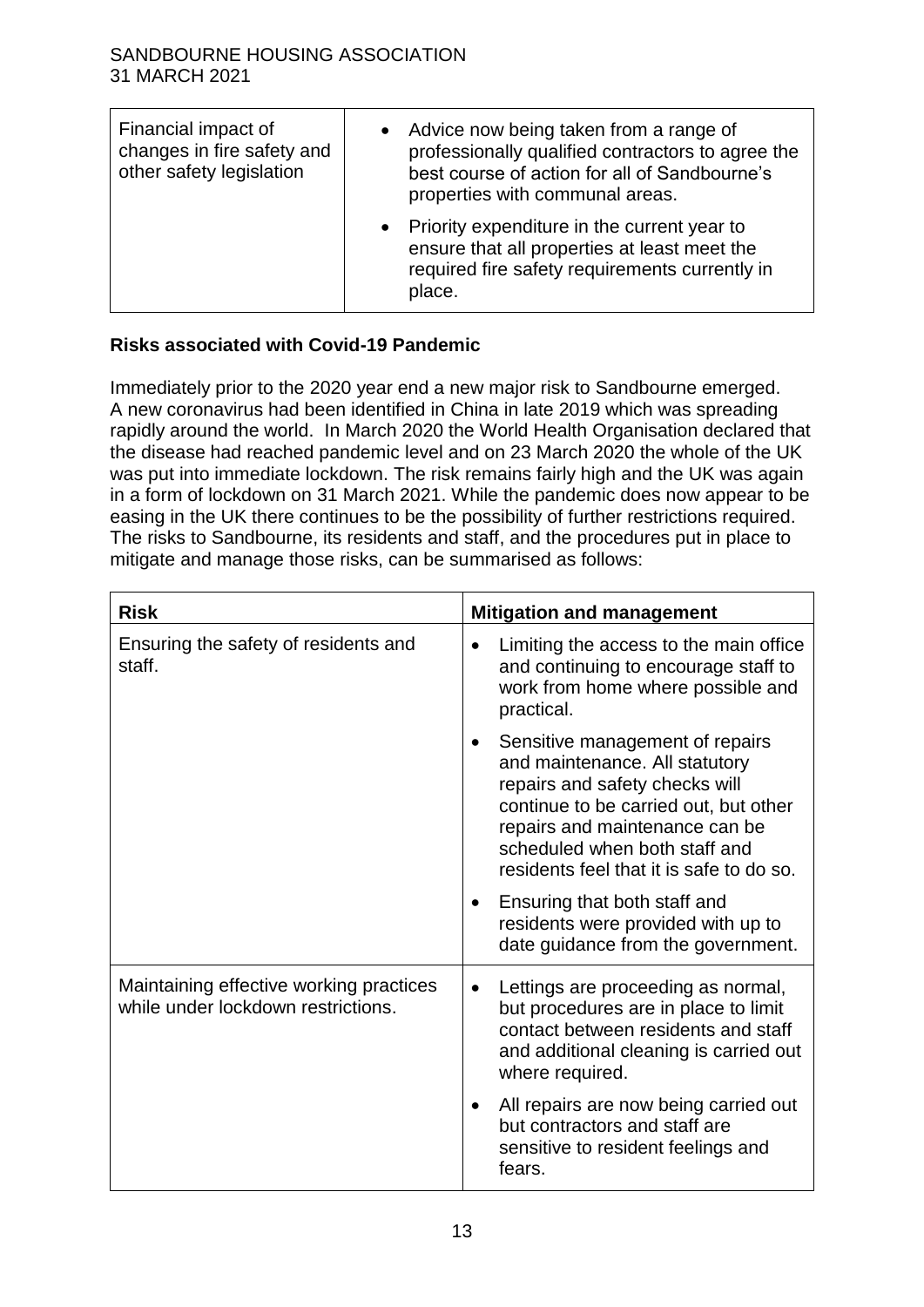| Financial impact of<br>changes in fire safety and<br>other safety legislation | • Advice now being taken from a range of<br>professionally qualified contractors to agree the<br>best course of action for all of Sandbourne's<br>properties with communal areas. |
|-------------------------------------------------------------------------------|-----------------------------------------------------------------------------------------------------------------------------------------------------------------------------------|
|                                                                               | • Priority expenditure in the current year to<br>ensure that all properties at least meet the<br>required fire safety requirements currently in<br>place.                         |

# **Risks associated with Covid-19 Pandemic**

Immediately prior to the 2020 year end a new major risk to Sandbourne emerged. A new coronavirus had been identified in China in late 2019 which was spreading rapidly around the world. In March 2020 the World Health Organisation declared that the disease had reached pandemic level and on 23 March 2020 the whole of the UK was put into immediate lockdown. The risk remains fairly high and the UK was again in a form of lockdown on 31 March 2021. While the pandemic does now appear to be easing in the UK there continues to be the possibility of further restrictions required. The risks to Sandbourne, its residents and staff, and the procedures put in place to mitigate and manage those risks, can be summarised as follows:

| <b>Risk</b>                                                                   | <b>Mitigation and management</b>                                                                                                                                                                                                                            |
|-------------------------------------------------------------------------------|-------------------------------------------------------------------------------------------------------------------------------------------------------------------------------------------------------------------------------------------------------------|
| Ensuring the safety of residents and<br>staff.                                | Limiting the access to the main office<br>$\bullet$<br>and continuing to encourage staff to<br>work from home where possible and<br>practical.                                                                                                              |
|                                                                               | Sensitive management of repairs<br>and maintenance. All statutory<br>repairs and safety checks will<br>continue to be carried out, but other<br>repairs and maintenance can be<br>scheduled when both staff and<br>residents feel that it is safe to do so. |
|                                                                               | Ensuring that both staff and<br>residents were provided with up to<br>date guidance from the government.                                                                                                                                                    |
| Maintaining effective working practices<br>while under lockdown restrictions. | Lettings are proceeding as normal,<br>$\bullet$<br>but procedures are in place to limit<br>contact between residents and staff<br>and additional cleaning is carried out<br>where required.                                                                 |
|                                                                               | All repairs are now being carried out<br>but contractors and staff are<br>sensitive to resident feelings and<br>fears.                                                                                                                                      |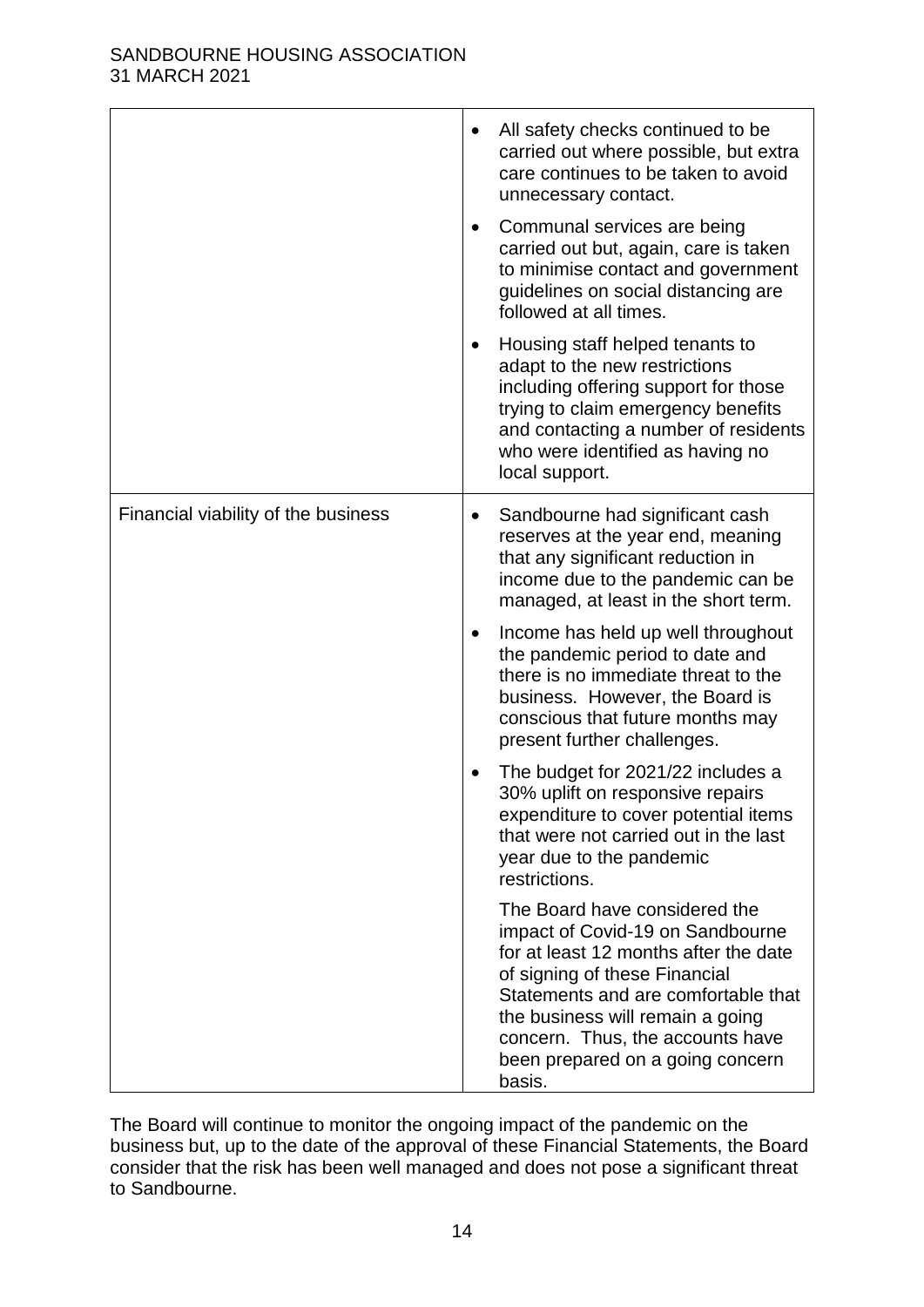|                                     | All safety checks continued to be<br>carried out where possible, but extra<br>care continues to be taken to avoid<br>unnecessary contact.<br>Communal services are being<br>carried out but, again, care is taken<br>to minimise contact and government<br>guidelines on social distancing are<br>followed at all times. |
|-------------------------------------|--------------------------------------------------------------------------------------------------------------------------------------------------------------------------------------------------------------------------------------------------------------------------------------------------------------------------|
|                                     | Housing staff helped tenants to<br>adapt to the new restrictions<br>including offering support for those<br>trying to claim emergency benefits<br>and contacting a number of residents<br>who were identified as having no<br>local support.                                                                             |
| Financial viability of the business | Sandbourne had significant cash<br>reserves at the year end, meaning<br>that any significant reduction in<br>income due to the pandemic can be<br>managed, at least in the short term.                                                                                                                                   |
|                                     | Income has held up well throughout<br>$\bullet$<br>the pandemic period to date and<br>there is no immediate threat to the<br>business. However, the Board is<br>conscious that future months may<br>present further challenges.                                                                                          |
|                                     | The budget for 2021/22 includes a<br>30% uplift on responsive repairs<br>expenditure to cover potential items<br>that were not carried out in the last<br>year due to the pandemic<br>restrictions.                                                                                                                      |
|                                     | The Board have considered the<br>impact of Covid-19 on Sandbourne<br>for at least 12 months after the date<br>of signing of these Financial<br>Statements and are comfortable that<br>the business will remain a going<br>concern. Thus, the accounts have<br>been prepared on a going concern<br>basis.                 |

The Board will continue to monitor the ongoing impact of the pandemic on the business but, up to the date of the approval of these Financial Statements, the Board consider that the risk has been well managed and does not pose a significant threat to Sandbourne.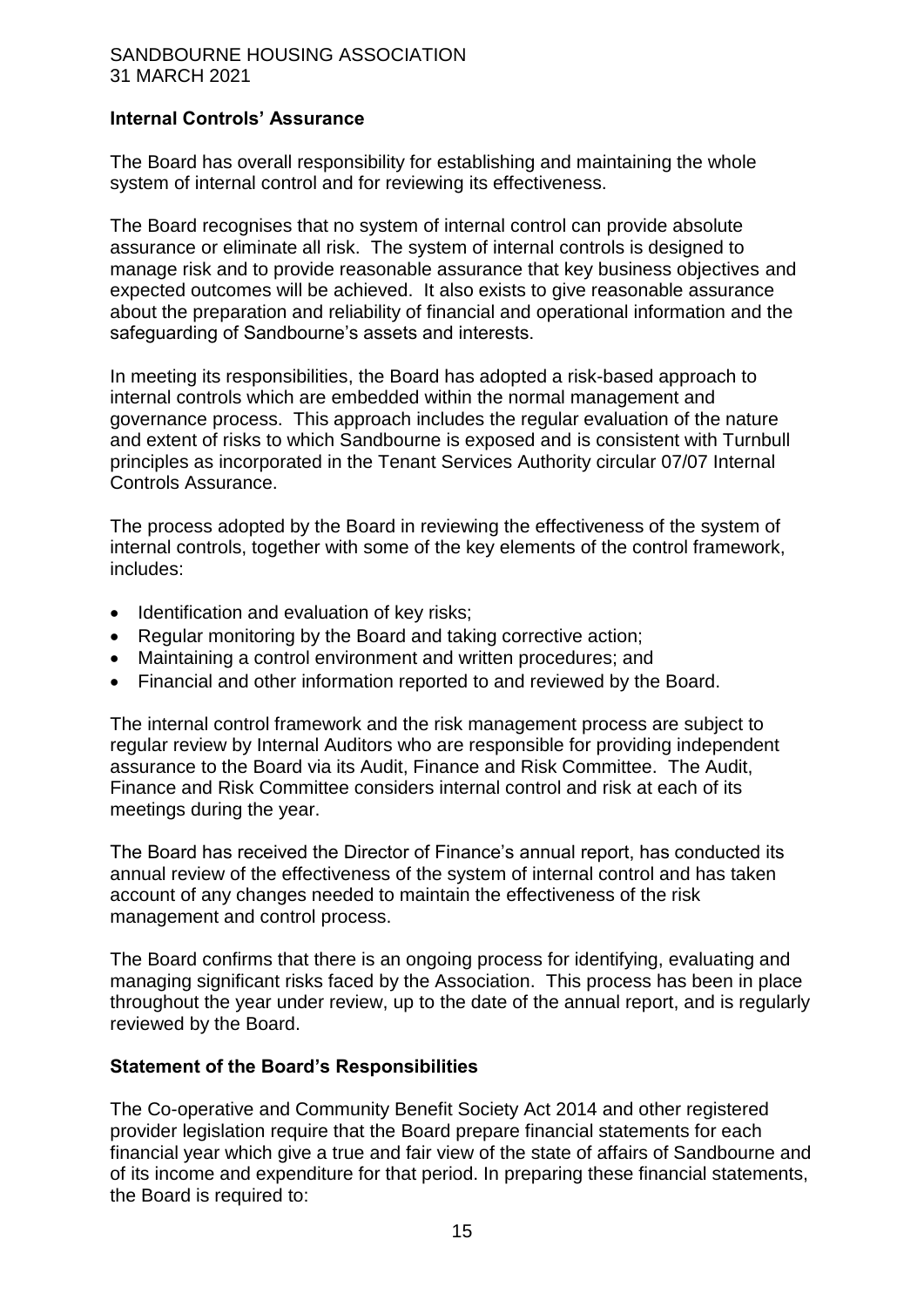# **Internal Controls' Assurance**

The Board has overall responsibility for establishing and maintaining the whole system of internal control and for reviewing its effectiveness.

The Board recognises that no system of internal control can provide absolute assurance or eliminate all risk. The system of internal controls is designed to manage risk and to provide reasonable assurance that key business objectives and expected outcomes will be achieved. It also exists to give reasonable assurance about the preparation and reliability of financial and operational information and the safeguarding of Sandbourne's assets and interests.

In meeting its responsibilities, the Board has adopted a risk-based approach to internal controls which are embedded within the normal management and governance process. This approach includes the regular evaluation of the nature and extent of risks to which Sandbourne is exposed and is consistent with Turnbull principles as incorporated in the Tenant Services Authority circular 07/07 Internal Controls Assurance.

The process adopted by the Board in reviewing the effectiveness of the system of internal controls, together with some of the key elements of the control framework, includes:

- Identification and evaluation of key risks:
- Regular monitoring by the Board and taking corrective action;
- Maintaining a control environment and written procedures; and
- Financial and other information reported to and reviewed by the Board.

The internal control framework and the risk management process are subject to regular review by Internal Auditors who are responsible for providing independent assurance to the Board via its Audit, Finance and Risk Committee. The Audit, Finance and Risk Committee considers internal control and risk at each of its meetings during the year.

The Board has received the Director of Finance's annual report, has conducted its annual review of the effectiveness of the system of internal control and has taken account of any changes needed to maintain the effectiveness of the risk management and control process.

The Board confirms that there is an ongoing process for identifying, evaluating and managing significant risks faced by the Association. This process has been in place throughout the year under review, up to the date of the annual report, and is regularly reviewed by the Board.

#### **Statement of the Board's Responsibilities**

The Co-operative and Community Benefit Society Act 2014 and other registered provider legislation require that the Board prepare financial statements for each financial year which give a true and fair view of the state of affairs of Sandbourne and of its income and expenditure for that period. In preparing these financial statements, the Board is required to: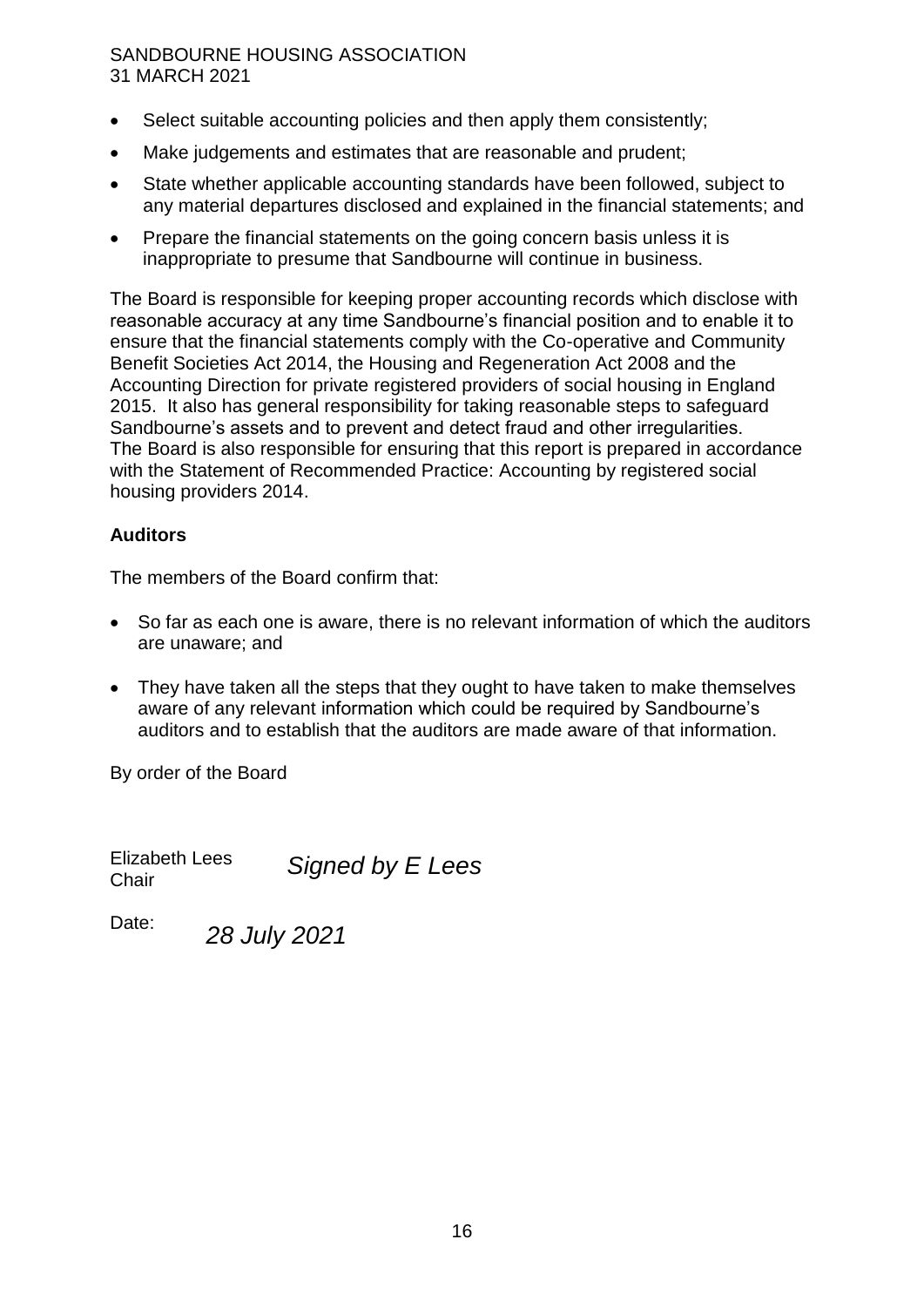- Select suitable accounting policies and then apply them consistently;
- Make judgements and estimates that are reasonable and prudent;
- State whether applicable accounting standards have been followed, subject to any material departures disclosed and explained in the financial statements; and
- Prepare the financial statements on the going concern basis unless it is inappropriate to presume that Sandbourne will continue in business.

The Board is responsible for keeping proper accounting records which disclose with reasonable accuracy at any time Sandbourne's financial position and to enable it to ensure that the financial statements comply with the Co-operative and Community Benefit Societies Act 2014, the Housing and Regeneration Act 2008 and the Accounting Direction for private registered providers of social housing in England 2015. It also has general responsibility for taking reasonable steps to safeguard Sandbourne's assets and to prevent and detect fraud and other irregularities. The Board is also responsible for ensuring that this report is prepared in accordance with the Statement of Recommended Practice: Accounting by registered social housing providers 2014.

# **Auditors**

The members of the Board confirm that:

- So far as each one is aware, there is no relevant information of which the auditors are unaware; and
- They have taken all the steps that they ought to have taken to make themselves aware of any relevant information which could be required by Sandbourne's auditors and to establish that the auditors are made aware of that information.

By order of the Board

Elizabeth Lees **Chair** *Signed by E Lees*

Date: *28 July 2021*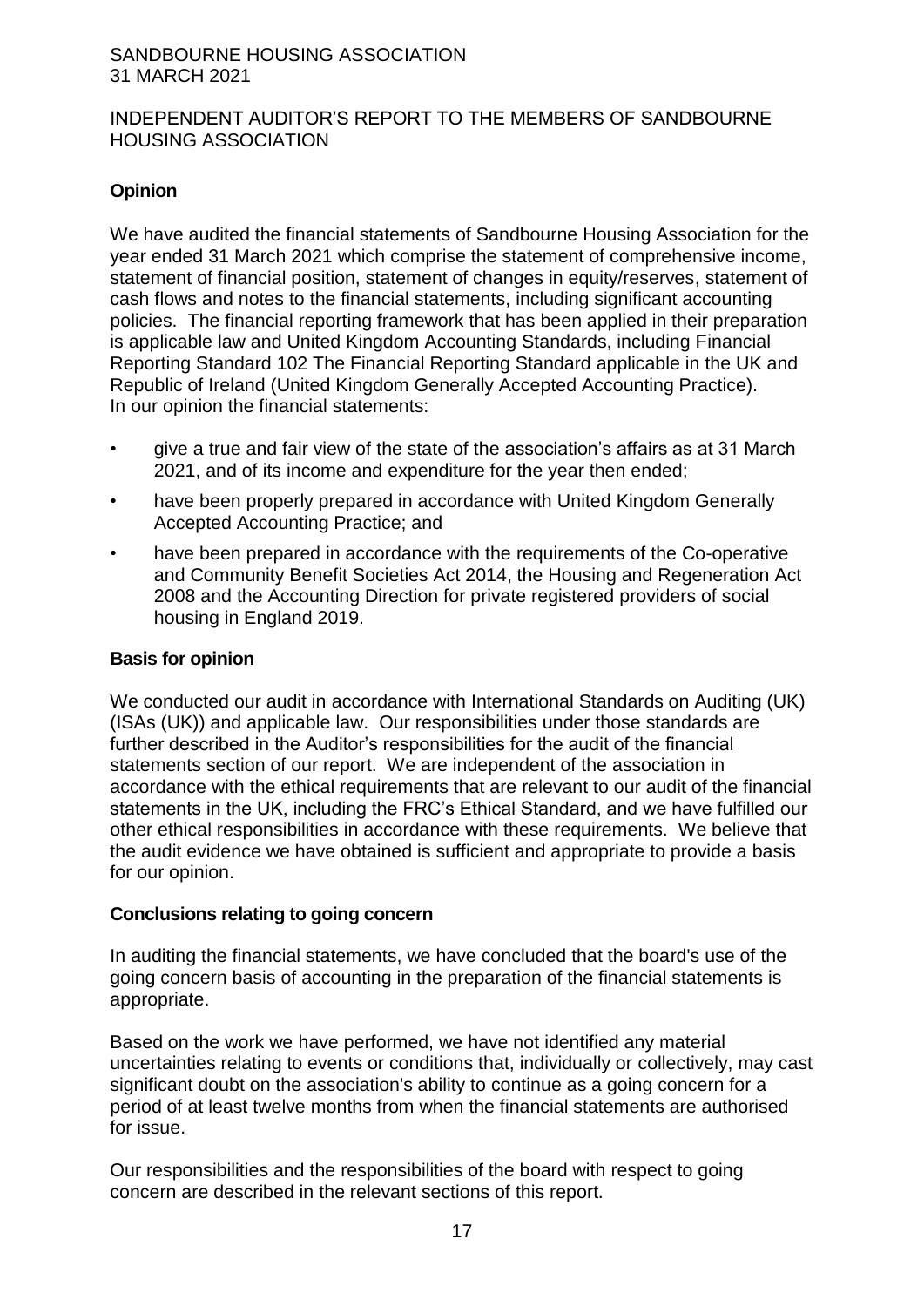#### INDEPENDENT AUDITOR'S REPORT TO THE MEMBERS OF SANDBOURNE HOUSING ASSOCIATION

# **Opinion**

We have audited the financial statements of Sandbourne Housing Association for the year ended 31 March 2021 which comprise the statement of comprehensive income, statement of financial position, statement of changes in equity/reserves, statement of cash flows and notes to the financial statements, including significant accounting policies. The financial reporting framework that has been applied in their preparation is applicable law and United Kingdom Accounting Standards, including Financial Reporting Standard 102 The Financial Reporting Standard applicable in the UK and Republic of Ireland (United Kingdom Generally Accepted Accounting Practice). In our opinion the financial statements:

- give a true and fair view of the state of the association's affairs as at 31 March 2021, and of its income and expenditure for the year then ended;
- have been properly prepared in accordance with United Kingdom Generally Accepted Accounting Practice; and
- have been prepared in accordance with the requirements of the Co-operative and Community Benefit Societies Act 2014, the Housing and Regeneration Act 2008 and the Accounting Direction for private registered providers of social housing in England 2019.

# **Basis for opinion**

We conducted our audit in accordance with International Standards on Auditing (UK) (ISAs (UK)) and applicable law. Our responsibilities under those standards are further described in the Auditor's responsibilities for the audit of the financial statements section of our report. We are independent of the association in accordance with the ethical requirements that are relevant to our audit of the financial statements in the UK, including the FRC's Ethical Standard, and we have fulfilled our other ethical responsibilities in accordance with these requirements. We believe that the audit evidence we have obtained is sufficient and appropriate to provide a basis for our opinion.

#### **Conclusions relating to going concern**

In auditing the financial statements, we have concluded that the board's use of the going concern basis of accounting in the preparation of the financial statements is appropriate.

Based on the work we have performed, we have not identified any material uncertainties relating to events or conditions that, individually or collectively, may cast significant doubt on the association's ability to continue as a going concern for a period of at least twelve months from when the financial statements are authorised for issue.

Our responsibilities and the responsibilities of the board with respect to going concern are described in the relevant sections of this report.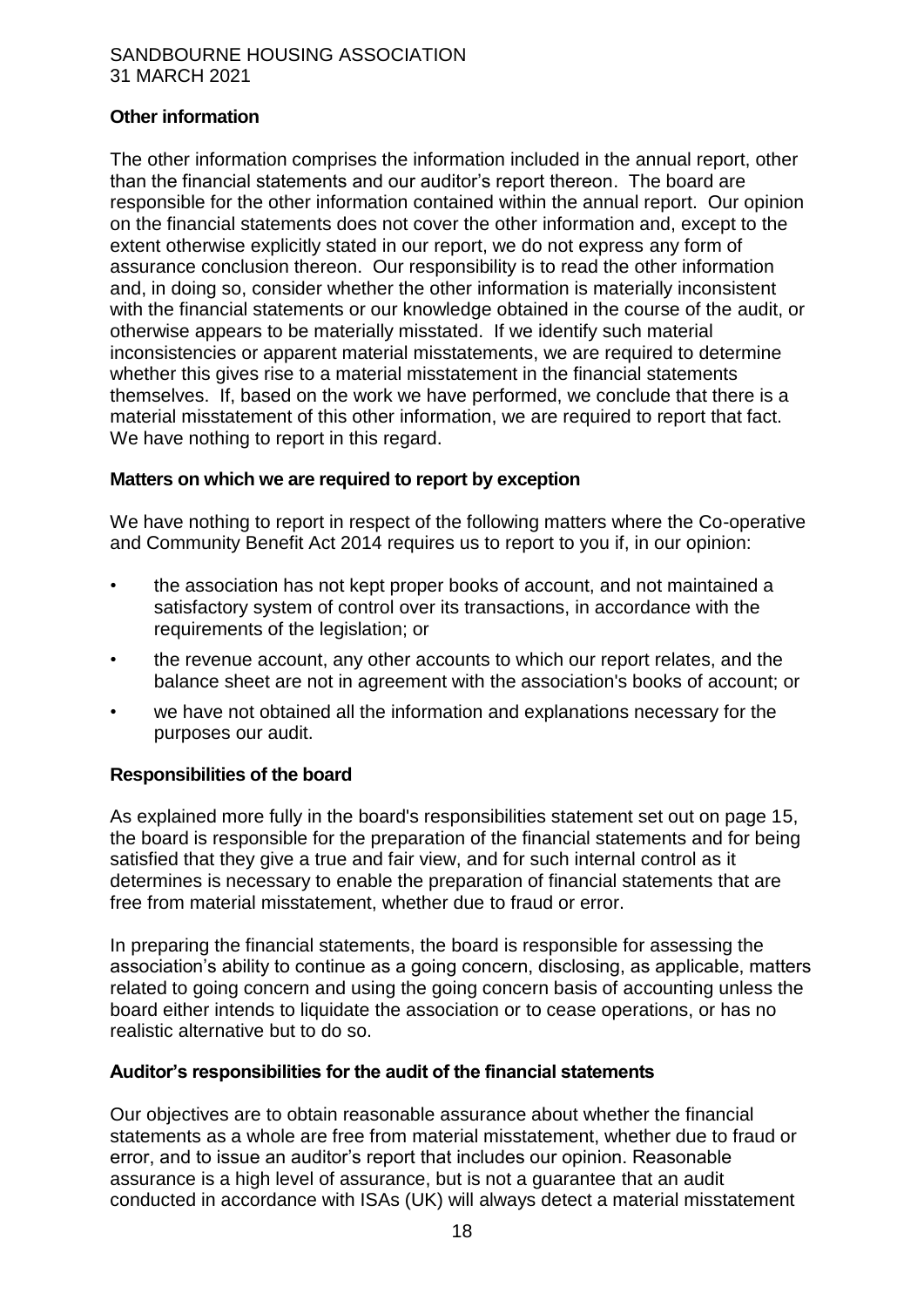# **Other information**

The other information comprises the information included in the annual report, other than the financial statements and our auditor's report thereon. The board are responsible for the other information contained within the annual report. Our opinion on the financial statements does not cover the other information and, except to the extent otherwise explicitly stated in our report, we do not express any form of assurance conclusion thereon. Our responsibility is to read the other information and, in doing so, consider whether the other information is materially inconsistent with the financial statements or our knowledge obtained in the course of the audit, or otherwise appears to be materially misstated. If we identify such material inconsistencies or apparent material misstatements, we are required to determine whether this gives rise to a material misstatement in the financial statements themselves. If, based on the work we have performed, we conclude that there is a material misstatement of this other information, we are required to report that fact. We have nothing to report in this regard.

#### **Matters on which we are required to report by exception**

We have nothing to report in respect of the following matters where the Co-operative and Community Benefit Act 2014 requires us to report to you if, in our opinion:

- the association has not kept proper books of account, and not maintained a satisfactory system of control over its transactions, in accordance with the requirements of the legislation; or
- the revenue account, any other accounts to which our report relates, and the balance sheet are not in agreement with the association's books of account; or
- we have not obtained all the information and explanations necessary for the purposes our audit.

# **Responsibilities of the board**

As explained more fully in the board's responsibilities statement set out on page 15, the board is responsible for the preparation of the financial statements and for being satisfied that they give a true and fair view, and for such internal control as it determines is necessary to enable the preparation of financial statements that are free from material misstatement, whether due to fraud or error.

In preparing the financial statements, the board is responsible for assessing the association's ability to continue as a going concern, disclosing, as applicable, matters related to going concern and using the going concern basis of accounting unless the board either intends to liquidate the association or to cease operations, or has no realistic alternative but to do so.

#### **Auditor's responsibilities for the audit of the financial statements**

Our objectives are to obtain reasonable assurance about whether the financial statements as a whole are free from material misstatement, whether due to fraud or error, and to issue an auditor's report that includes our opinion. Reasonable assurance is a high level of assurance, but is not a guarantee that an audit conducted in accordance with ISAs (UK) will always detect a material misstatement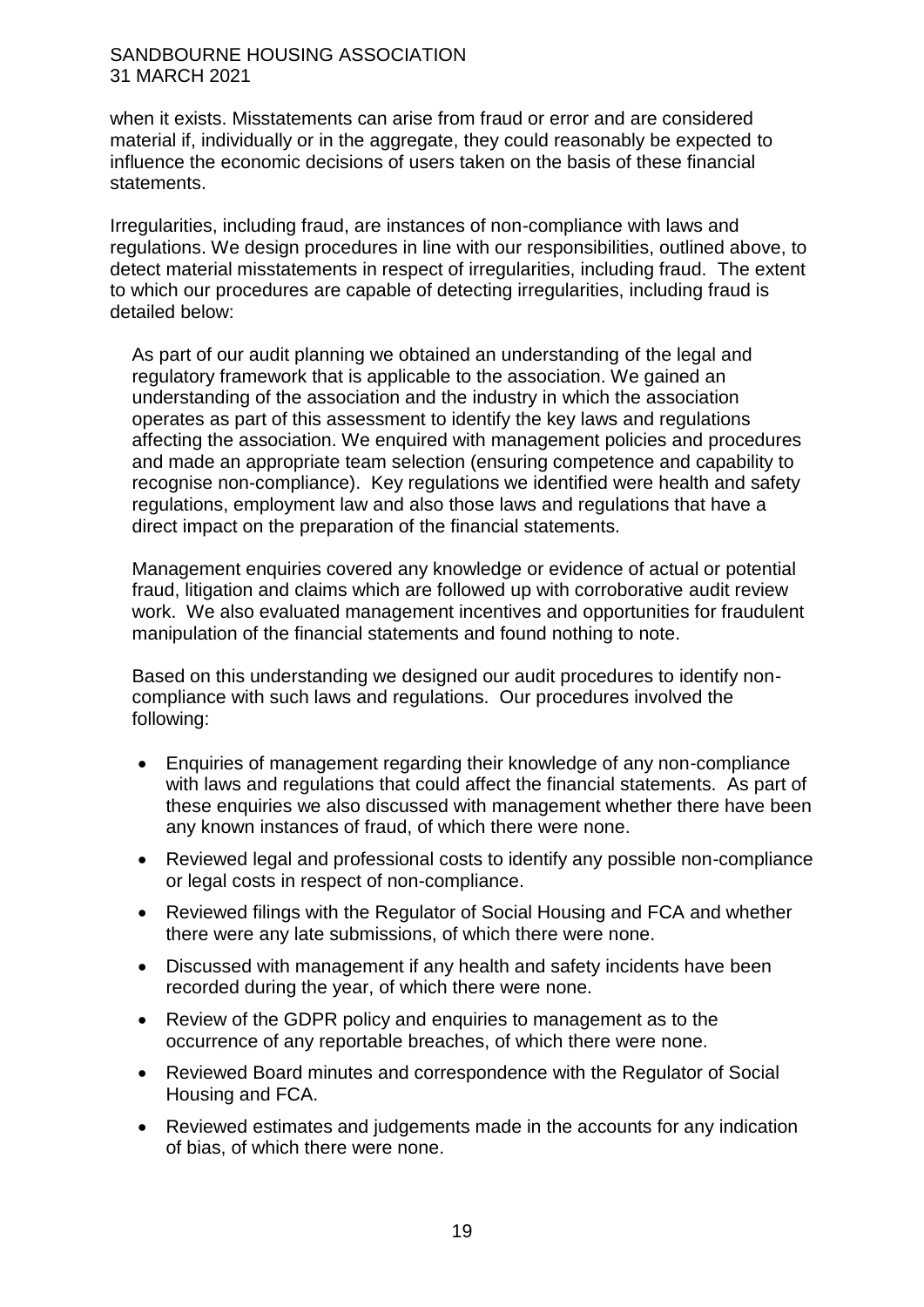when it exists. Misstatements can arise from fraud or error and are considered material if, individually or in the aggregate, they could reasonably be expected to influence the economic decisions of users taken on the basis of these financial statements.

Irregularities, including fraud, are instances of non-compliance with laws and regulations. We design procedures in line with our responsibilities, outlined above, to detect material misstatements in respect of irregularities, including fraud. The extent to which our procedures are capable of detecting irregularities, including fraud is detailed below:

As part of our audit planning we obtained an understanding of the legal and regulatory framework that is applicable to the association. We gained an understanding of the association and the industry in which the association operates as part of this assessment to identify the key laws and regulations affecting the association. We enquired with management policies and procedures and made an appropriate team selection (ensuring competence and capability to recognise non-compliance). Key regulations we identified were health and safety regulations, employment law and also those laws and regulations that have a direct impact on the preparation of the financial statements.

Management enquiries covered any knowledge or evidence of actual or potential fraud, litigation and claims which are followed up with corroborative audit review work. We also evaluated management incentives and opportunities for fraudulent manipulation of the financial statements and found nothing to note.

Based on this understanding we designed our audit procedures to identify noncompliance with such laws and regulations. Our procedures involved the following:

- Enquiries of management regarding their knowledge of any non-compliance with laws and regulations that could affect the financial statements. As part of these enquiries we also discussed with management whether there have been any known instances of fraud, of which there were none.
- Reviewed legal and professional costs to identify any possible non-compliance or legal costs in respect of non-compliance.
- Reviewed filings with the Regulator of Social Housing and FCA and whether there were any late submissions, of which there were none.
- Discussed with management if any health and safety incidents have been recorded during the year, of which there were none.
- Review of the GDPR policy and enquiries to management as to the occurrence of any reportable breaches, of which there were none.
- Reviewed Board minutes and correspondence with the Regulator of Social Housing and FCA.
- Reviewed estimates and judgements made in the accounts for any indication of bias, of which there were none.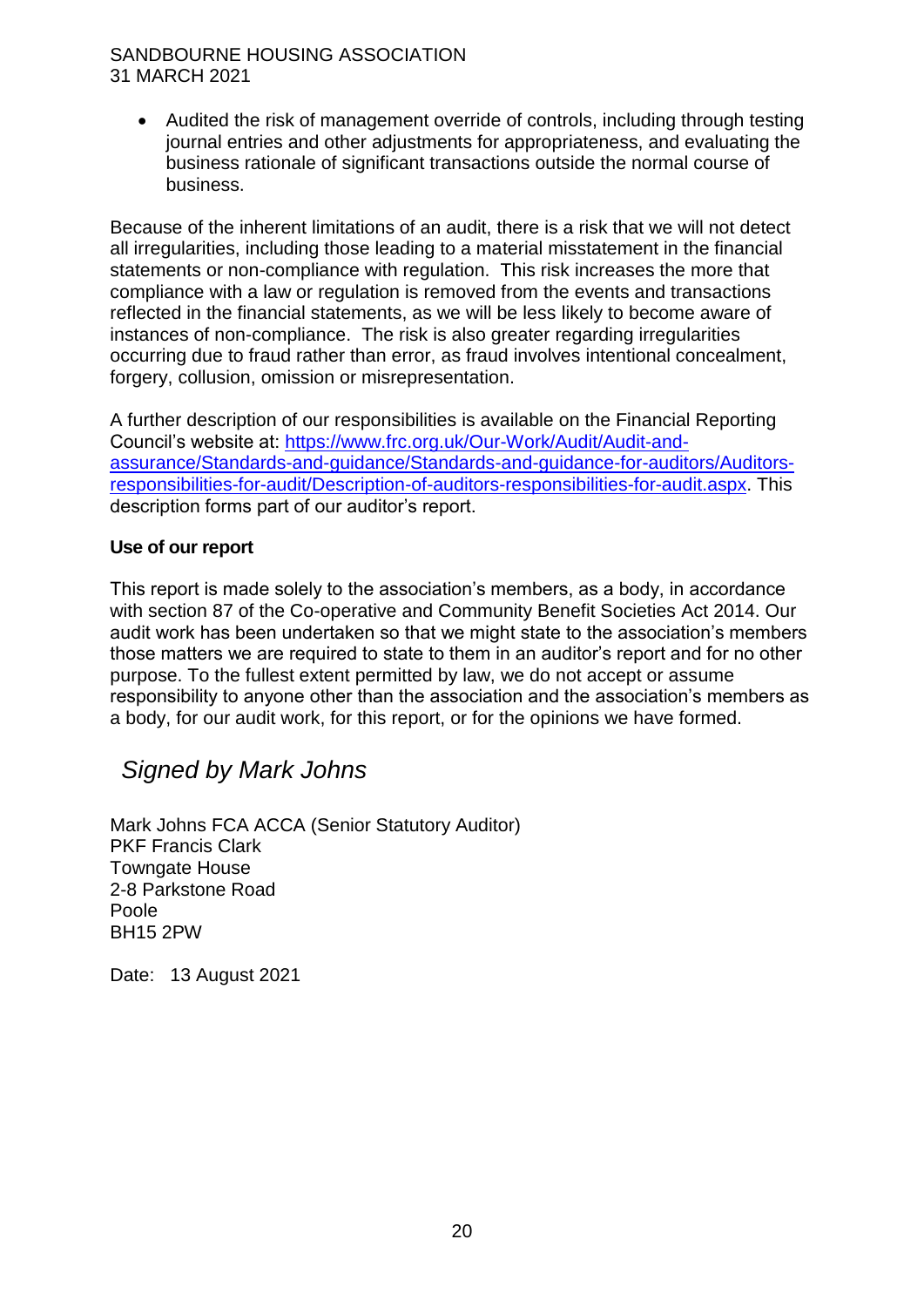Audited the risk of management override of controls, including through testing journal entries and other adjustments for appropriateness, and evaluating the business rationale of significant transactions outside the normal course of business.

Because of the inherent limitations of an audit, there is a risk that we will not detect all irregularities, including those leading to a material misstatement in the financial statements or non-compliance with regulation. This risk increases the more that compliance with a law or regulation is removed from the events and transactions reflected in the financial statements, as we will be less likely to become aware of instances of non-compliance. The risk is also greater regarding irregularities occurring due to fraud rather than error, as fraud involves intentional concealment, forgery, collusion, omission or misrepresentation.

A further description of our responsibilities is available on the Financial Reporting Council's website at: [https://www.frc.org.uk/Our-Work/Audit/Audit-and](https://www.frc.org.uk/Our-Work/Audit/Audit-and-assurance/Standards-and-guidance/Standards-and-guidance-for-auditors/Auditors-responsibilities-for-audit/Description-of-auditors-responsibilities-for-audit.aspx)[assurance/Standards-and-guidance/Standards-and-guidance-for-auditors/Auditors](https://www.frc.org.uk/Our-Work/Audit/Audit-and-assurance/Standards-and-guidance/Standards-and-guidance-for-auditors/Auditors-responsibilities-for-audit/Description-of-auditors-responsibilities-for-audit.aspx)[responsibilities-for-audit/Description-of-auditors-responsibilities-for-audit.aspx.](https://www.frc.org.uk/Our-Work/Audit/Audit-and-assurance/Standards-and-guidance/Standards-and-guidance-for-auditors/Auditors-responsibilities-for-audit/Description-of-auditors-responsibilities-for-audit.aspx) This description forms part of our auditor's report.

# **Use of our report**

This report is made solely to the association's members, as a body, in accordance with section 87 of the Co-operative and Community Benefit Societies Act 2014. Our audit work has been undertaken so that we might state to the association's members those matters we are required to state to them in an auditor's report and for no other purpose. To the fullest extent permitted by law, we do not accept or assume responsibility to anyone other than the association and the association's members as a body, for our audit work, for this report, or for the opinions we have formed.

# *Signed by Mark Johns*

Mark Johns FCA ACCA (Senior Statutory Auditor) PKF Francis Clark Towngate House 2-8 Parkstone Road Poole BH15 2PW

Date: 13 August 2021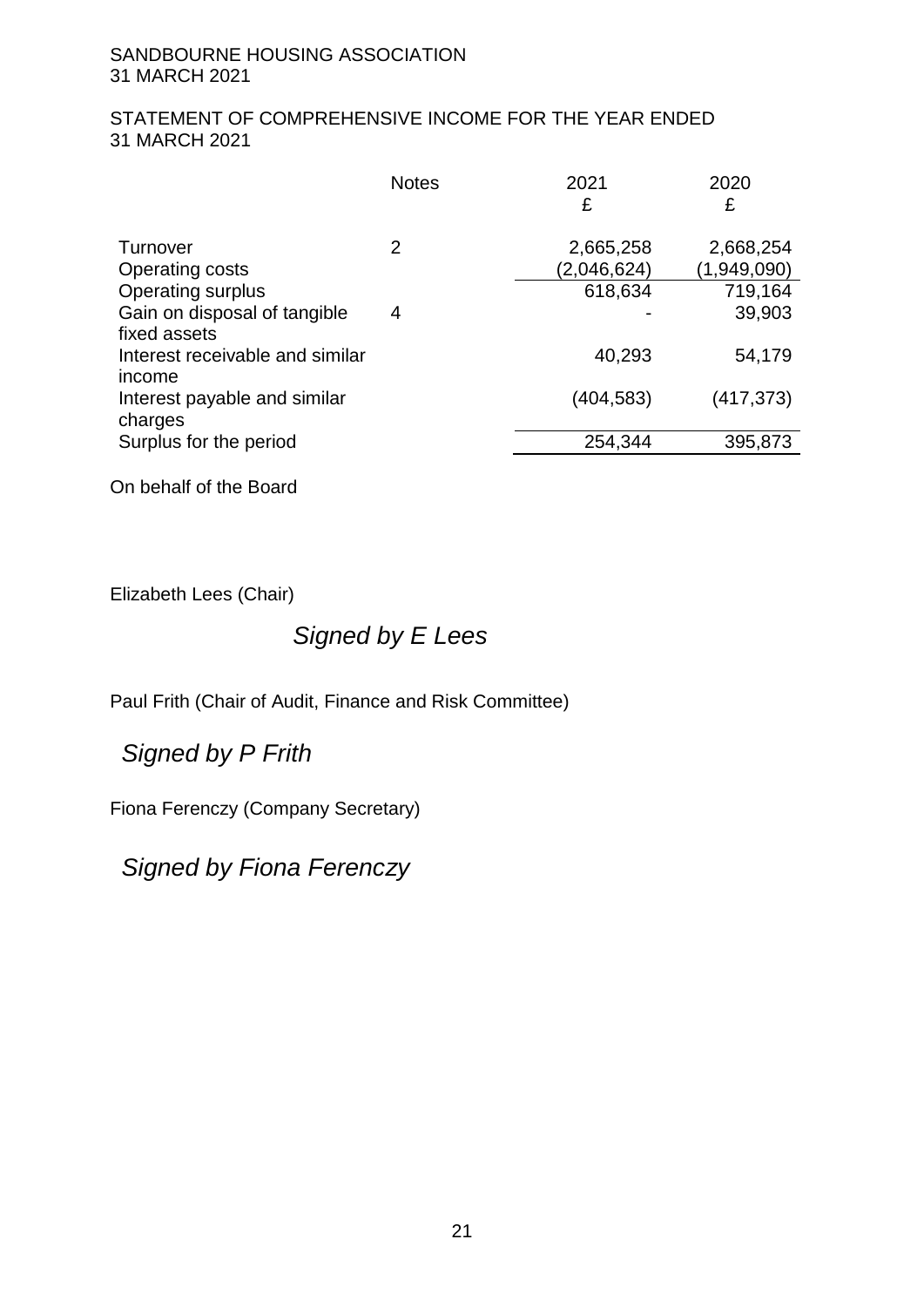# STATEMENT OF COMPREHENSIVE INCOME FOR THE YEAR ENDED 31 MARCH 2021

|                                              | <b>Notes</b> | 2021<br>£                | 2020<br>£                |
|----------------------------------------------|--------------|--------------------------|--------------------------|
| Turnover<br><b>Operating costs</b>           | 2            | 2,665,258<br>(2,046,624) | 2,668,254<br>(1,949,090) |
| Operating surplus                            |              | 618,634                  | 719,164                  |
| Gain on disposal of tangible<br>fixed assets | 4            |                          | 39,903                   |
| Interest receivable and similar<br>income    |              | 40,293                   | 54,179                   |
| Interest payable and similar<br>charges      |              | (404,583)                | (417, 373)               |
| Surplus for the period                       |              | 254,344                  | 395,873                  |
|                                              |              |                          |                          |

On behalf of the Board

Elizabeth Lees (Chair)

# *Signed by E Lees*

Paul Frith (Chair of Audit, Finance and Risk Committee)

*Signed by P Frith*

Fiona Ferenczy (Company Secretary)

*Signed by Fiona Ferenczy*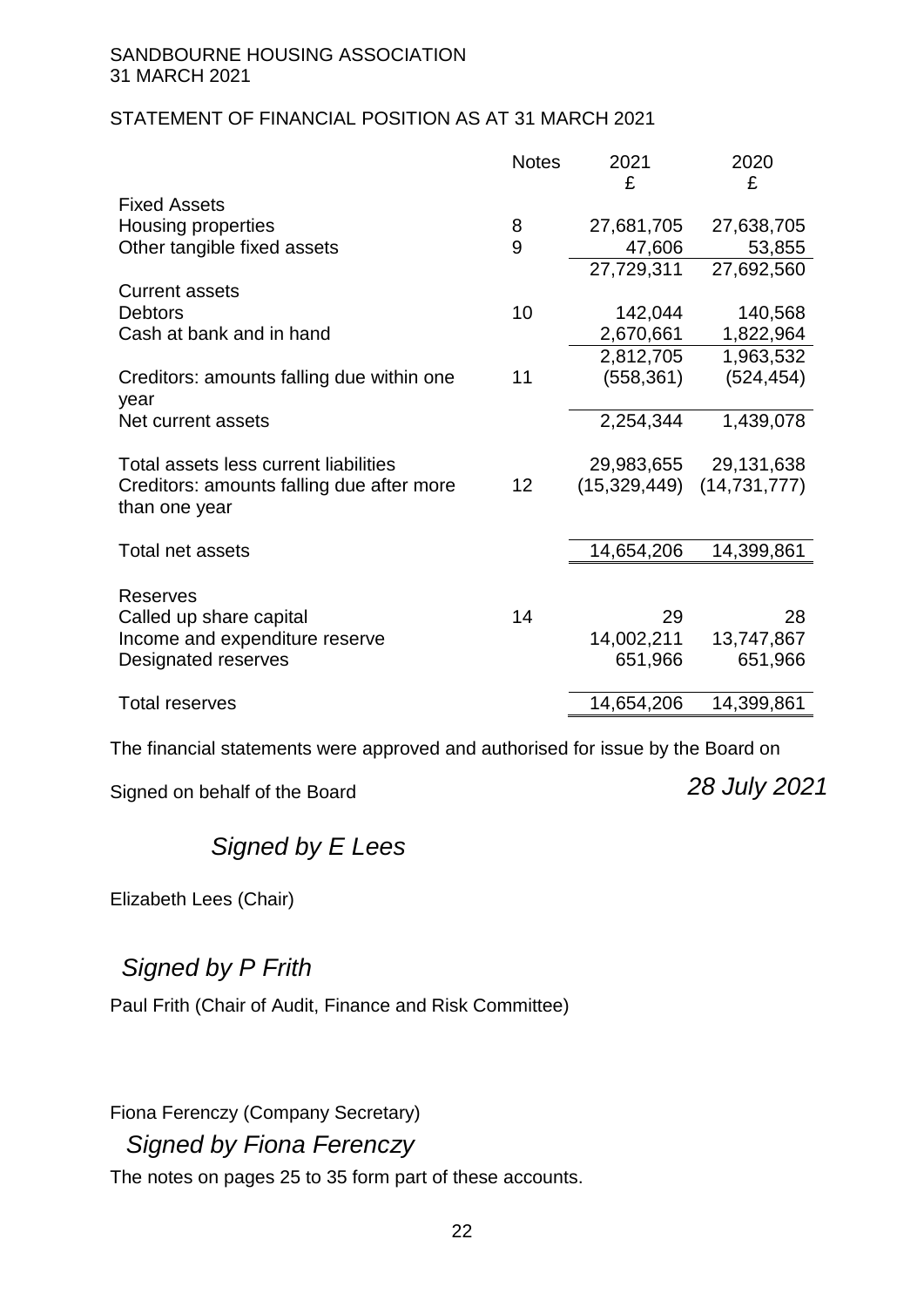# STATEMENT OF FINANCIAL POSITION AS AT 31 MARCH 2021

|                                                            | <b>Notes</b> | 2021       | 2020                          |
|------------------------------------------------------------|--------------|------------|-------------------------------|
|                                                            |              | £          | £                             |
| <b>Fixed Assets</b>                                        |              |            |                               |
| <b>Housing properties</b>                                  | 8            | 27,681,705 | 27,638,705                    |
| Other tangible fixed assets                                | 9            | 47,606     | 53,855                        |
|                                                            |              | 27,729,311 | 27,692,560                    |
| <b>Current assets</b>                                      |              |            |                               |
| <b>Debtors</b>                                             | 10           | 142,044    | 140,568                       |
| Cash at bank and in hand                                   |              | 2,670,661  | 1,822,964                     |
|                                                            |              | 2,812,705  | 1,963,532                     |
| Creditors: amounts falling due within one<br>year          | 11           | (558, 361) | (524, 454)                    |
| Net current assets                                         |              | 2,254,344  | 1,439,078                     |
| Total assets less current liabilities                      |              |            | 29,983,655 29,131,638         |
| Creditors: amounts falling due after more<br>than one year | 12           |            | $(15,329,449)$ $(14,731,777)$ |
| Total net assets                                           |              | 14,654,206 | 14,399,861                    |
| <b>Reserves</b>                                            |              |            |                               |
| Called up share capital                                    | 14           | 29         | 28                            |
| Income and expenditure reserve                             |              | 14,002,211 | 13,747,867                    |
| Designated reserves                                        |              | 651,966    | 651,966                       |
| <b>Total reserves</b>                                      |              | 14,654,206 | 14,399,861                    |

The financial statements were approved and authorised for issue by the Board on

Signed on behalf of the Board

*28 July 2021*

# *Signed by E Lees*

Elizabeth Lees (Chair)

# *Signed by P Frith*

Paul Frith (Chair of Audit, Finance and Risk Committee)

Fiona Ferenczy (Company Secretary)

*Signed by Fiona Ferenczy*

The notes on pages 25 to 35 form part of these accounts.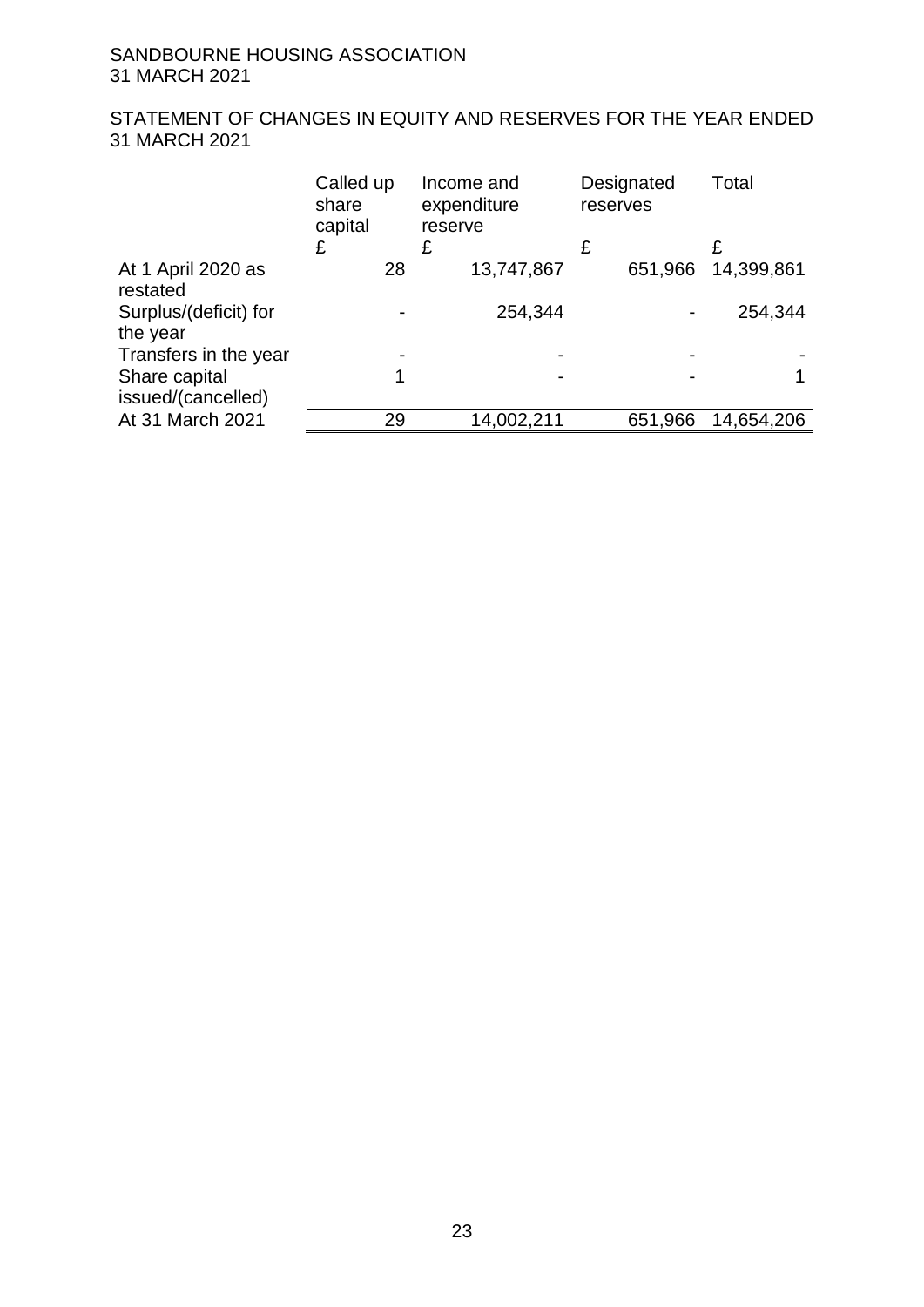# STATEMENT OF CHANGES IN EQUITY AND RESERVES FOR THE YEAR ENDED 31 MARCH 2021

|                                   | Called up<br>share<br>capital<br>£ | Income and<br>expenditure<br>reserve<br>£ | Designated<br>reserves<br>£ | Total<br>£ |
|-----------------------------------|------------------------------------|-------------------------------------------|-----------------------------|------------|
| At 1 April 2020 as<br>restated    | 28                                 | 13,747,867                                | 651,966                     | 14,399,861 |
| Surplus/(deficit) for<br>the year |                                    | 254,344                                   |                             | 254,344    |
| Transfers in the year             |                                    |                                           |                             |            |
| Share capital                     | 4                                  |                                           |                             |            |
| issued/(cancelled)                |                                    |                                           |                             |            |
| At 31 March 2021                  | 29                                 | 14,002,211                                | 651,966                     | 14,654,206 |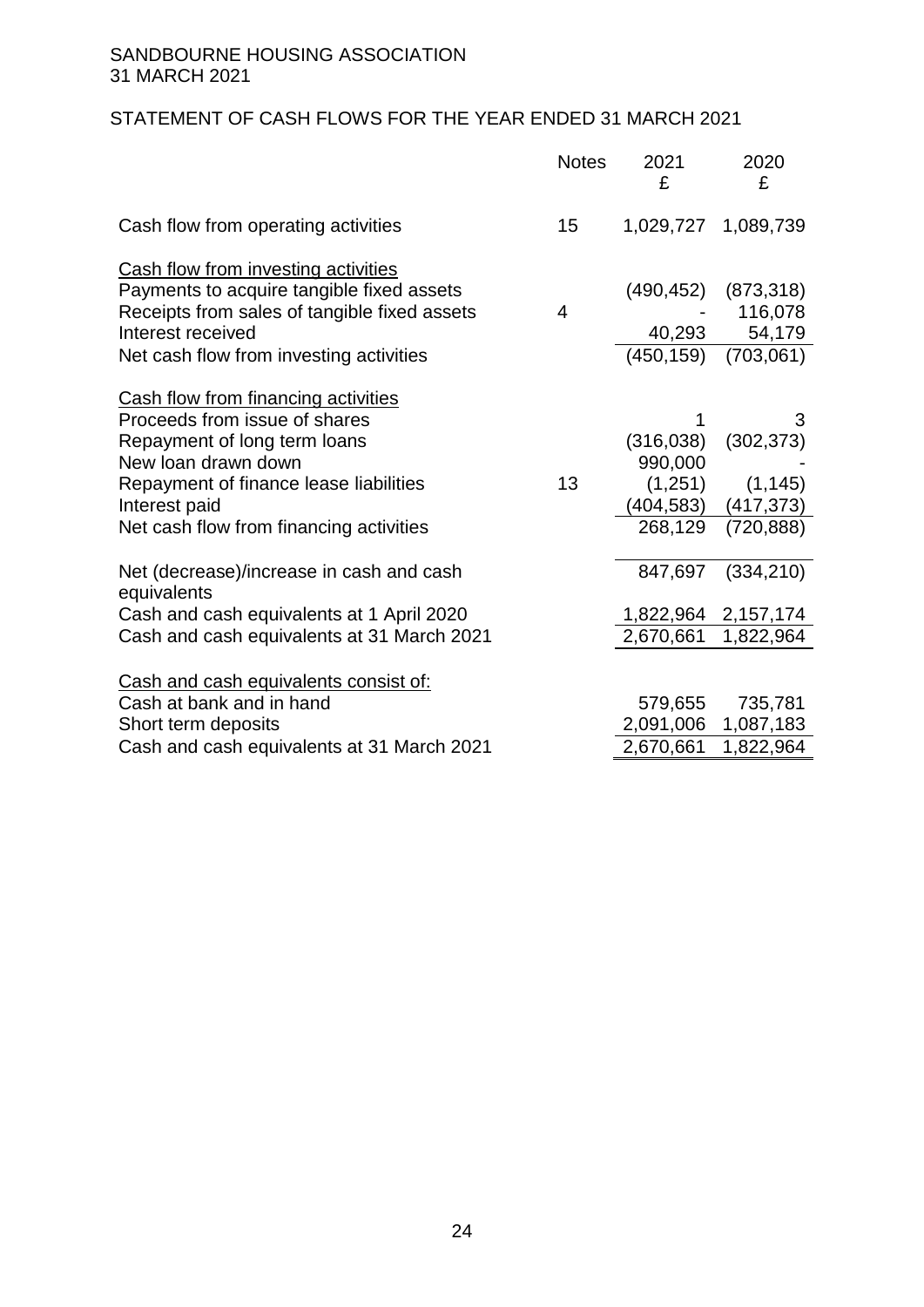# STATEMENT OF CASH FLOWS FOR THE YEAR ENDED 31 MARCH 2021

|                                                                                                                                                       | <b>Notes</b> | 2021<br>£                            | 2020<br>£                        |
|-------------------------------------------------------------------------------------------------------------------------------------------------------|--------------|--------------------------------------|----------------------------------|
| Cash flow from operating activities                                                                                                                   | 15           |                                      | 1,029,727 1,089,739              |
| Cash flow from investing activities<br>Payments to acquire tangible fixed assets<br>Receipts from sales of tangible fixed assets<br>Interest received | 4            | (490, 452)<br>40,293                 | (873, 318)<br>116,078<br>54,179  |
| Net cash flow from investing activities<br>Cash flow from financing activities                                                                        |              | (450, 159)                           | (703,061)                        |
| Proceeds from issue of shares<br>Repayment of long term loans<br>New loan drawn down<br>Repayment of finance lease liabilities                        | 13           | 1<br>(316,038)<br>990,000<br>(1,251) | 3<br>(302, 373)<br>(1, 145)      |
| Interest paid<br>Net cash flow from financing activities                                                                                              |              | (404,583)<br>268,129                 | (417, 373)<br>(720, 888)         |
| Net (decrease)/increase in cash and cash<br>equivalents                                                                                               |              | 847,697                              | (334, 210)                       |
| Cash and cash equivalents at 1 April 2020<br>Cash and cash equivalents at 31 March 2021                                                               |              | 2,670,661                            | 1,822,964 2,157,174<br>1,822,964 |
| Cash and cash equivalents consist of:                                                                                                                 |              |                                      |                                  |
| Cash at bank and in hand<br>Short term deposits                                                                                                       |              | 579,655<br>2,091,006                 | 735,781<br>1,087,183             |
| Cash and cash equivalents at 31 March 2021                                                                                                            |              | 2,670,661                            | 1,822,964                        |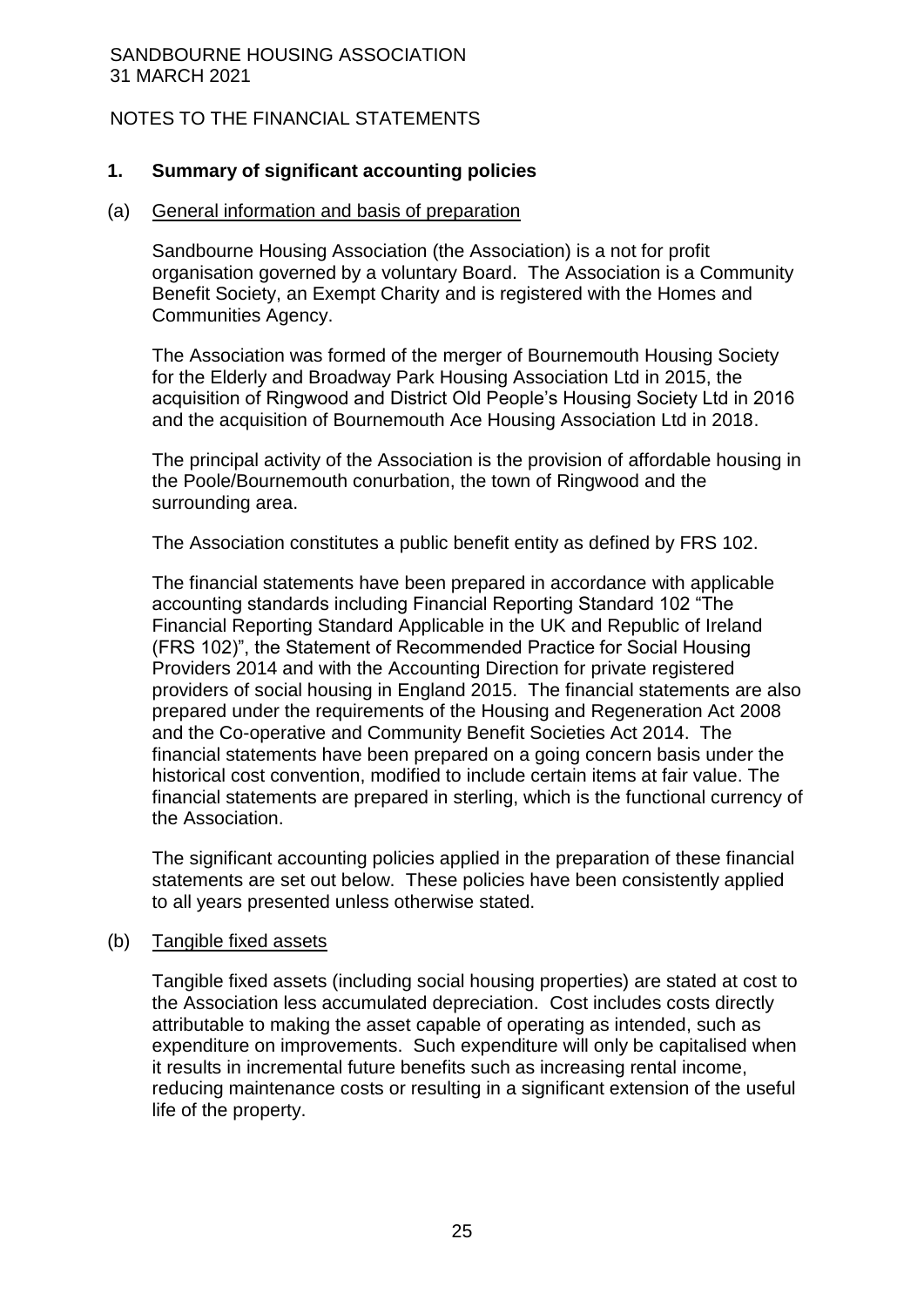# NOTES TO THE FINANCIAL STATEMENTS

### **1. Summary of significant accounting policies**

#### (a) General information and basis of preparation

Sandbourne Housing Association (the Association) is a not for profit organisation governed by a voluntary Board. The Association is a Community Benefit Society, an Exempt Charity and is registered with the Homes and Communities Agency.

The Association was formed of the merger of Bournemouth Housing Society for the Elderly and Broadway Park Housing Association Ltd in 2015, the acquisition of Ringwood and District Old People's Housing Society Ltd in 2016 and the acquisition of Bournemouth Ace Housing Association Ltd in 2018.

The principal activity of the Association is the provision of affordable housing in the Poole/Bournemouth conurbation, the town of Ringwood and the surrounding area.

The Association constitutes a public benefit entity as defined by FRS 102.

The financial statements have been prepared in accordance with applicable accounting standards including Financial Reporting Standard 102 "The Financial Reporting Standard Applicable in the UK and Republic of Ireland (FRS 102)", the Statement of Recommended Practice for Social Housing Providers 2014 and with the Accounting Direction for private registered providers of social housing in England 2015. The financial statements are also prepared under the requirements of the Housing and Regeneration Act 2008 and the Co-operative and Community Benefit Societies Act 2014. The financial statements have been prepared on a going concern basis under the historical cost convention, modified to include certain items at fair value. The financial statements are prepared in sterling, which is the functional currency of the Association.

The significant accounting policies applied in the preparation of these financial statements are set out below. These policies have been consistently applied to all years presented unless otherwise stated.

#### (b) Tangible fixed assets

Tangible fixed assets (including social housing properties) are stated at cost to the Association less accumulated depreciation. Cost includes costs directly attributable to making the asset capable of operating as intended, such as expenditure on improvements. Such expenditure will only be capitalised when it results in incremental future benefits such as increasing rental income, reducing maintenance costs or resulting in a significant extension of the useful life of the property.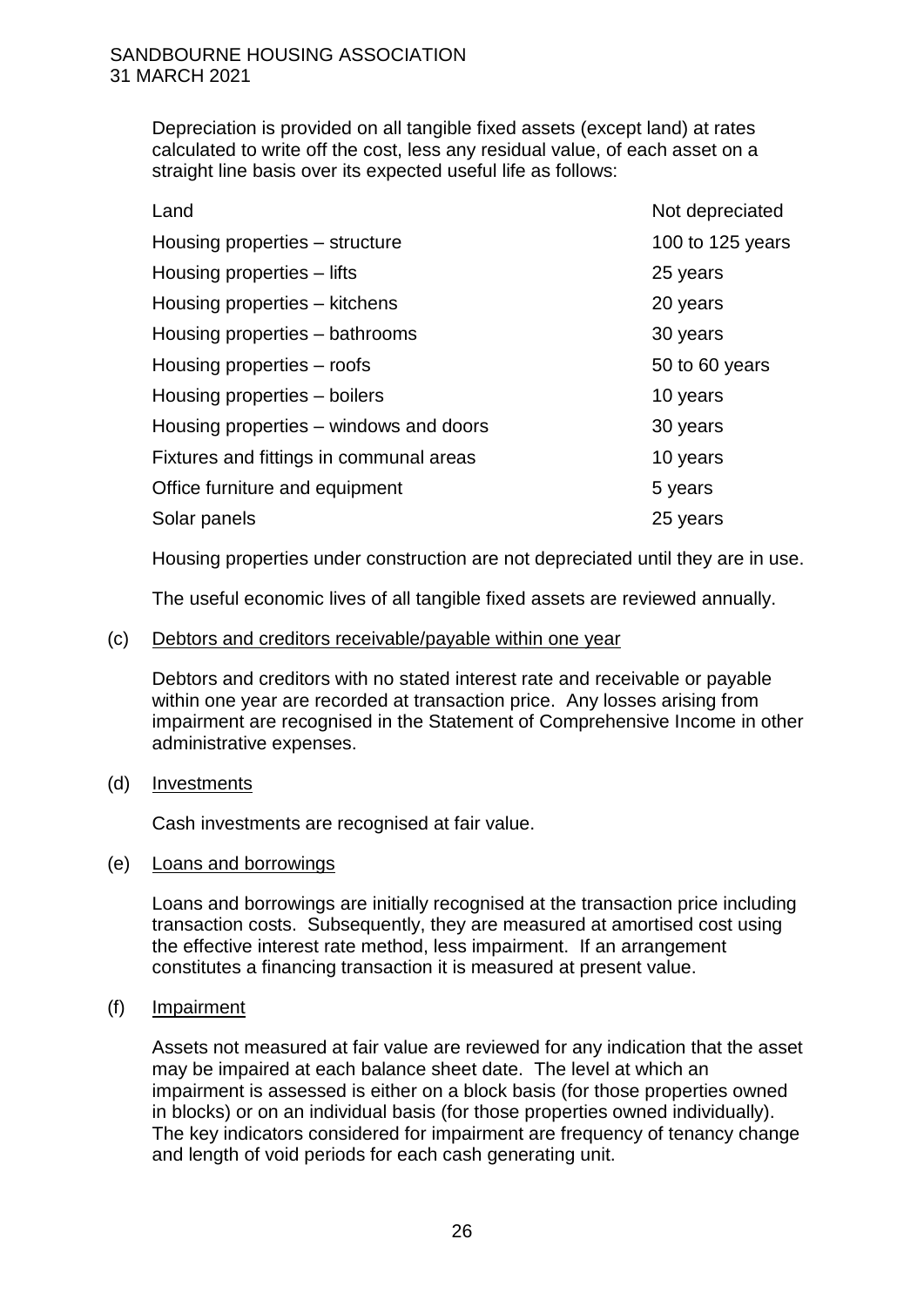Depreciation is provided on all tangible fixed assets (except land) at rates calculated to write off the cost, less any residual value, of each asset on a straight line basis over its expected useful life as follows:

| Land                                    | Not depreciated  |
|-----------------------------------------|------------------|
| Housing properties – structure          | 100 to 125 years |
| Housing properties – lifts              | 25 years         |
| Housing properties - kitchens           | 20 years         |
| Housing properties – bathrooms          | 30 years         |
| Housing properties – roofs              | 50 to 60 years   |
| Housing properties – boilers            | 10 years         |
| Housing properties – windows and doors  | 30 years         |
| Fixtures and fittings in communal areas | 10 years         |
| Office furniture and equipment          | 5 years          |
| Solar panels                            | 25 years         |

Housing properties under construction are not depreciated until they are in use.

The useful economic lives of all tangible fixed assets are reviewed annually.

#### (c) Debtors and creditors receivable/payable within one year

Debtors and creditors with no stated interest rate and receivable or payable within one year are recorded at transaction price. Any losses arising from impairment are recognised in the Statement of Comprehensive Income in other administrative expenses.

#### (d) Investments

Cash investments are recognised at fair value.

#### (e) Loans and borrowings

Loans and borrowings are initially recognised at the transaction price including transaction costs. Subsequently, they are measured at amortised cost using the effective interest rate method, less impairment. If an arrangement constitutes a financing transaction it is measured at present value.

#### (f) Impairment

Assets not measured at fair value are reviewed for any indication that the asset may be impaired at each balance sheet date. The level at which an impairment is assessed is either on a block basis (for those properties owned in blocks) or on an individual basis (for those properties owned individually). The key indicators considered for impairment are frequency of tenancy change and length of void periods for each cash generating unit.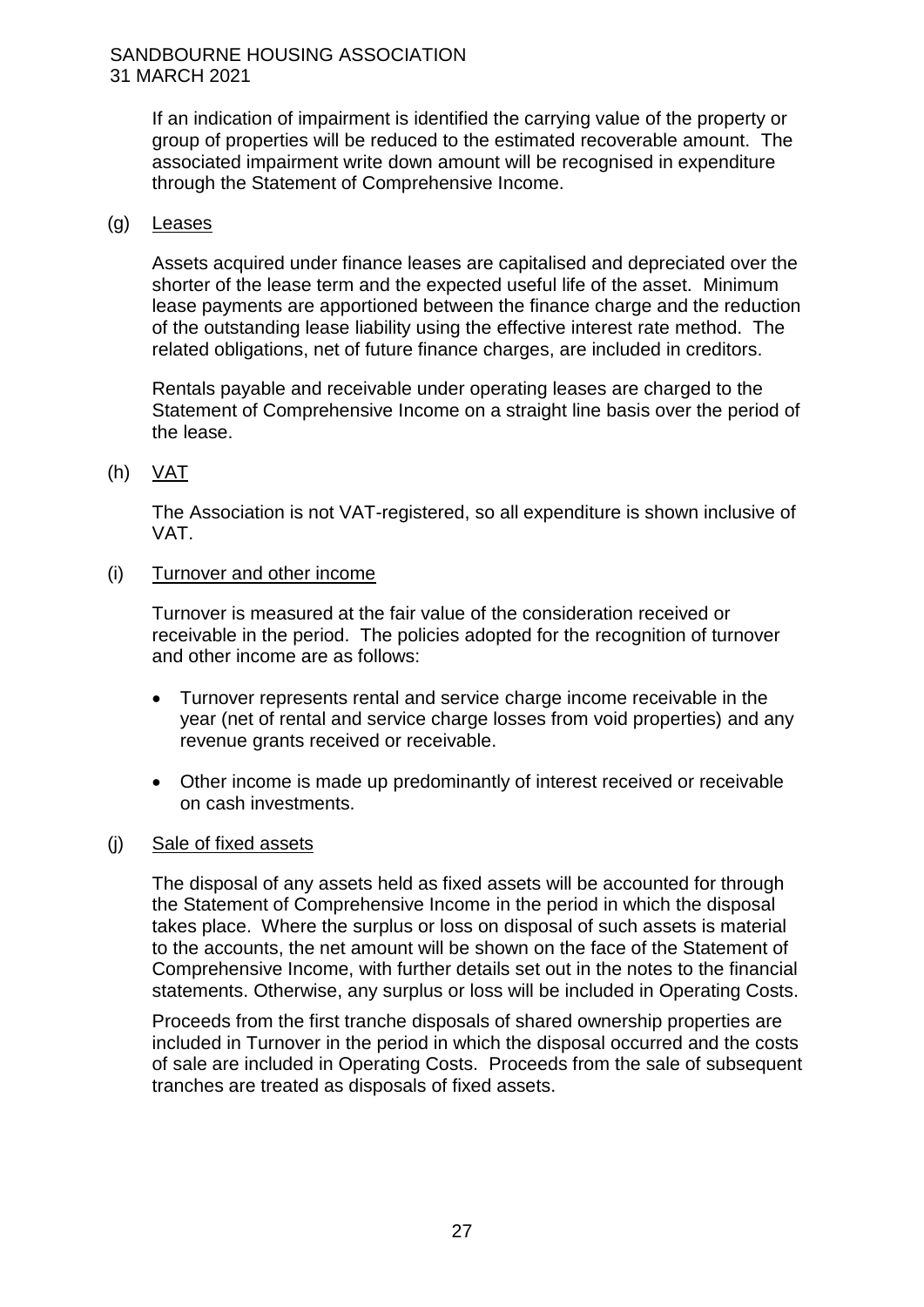If an indication of impairment is identified the carrying value of the property or group of properties will be reduced to the estimated recoverable amount. The associated impairment write down amount will be recognised in expenditure through the Statement of Comprehensive Income.

# (g) Leases

Assets acquired under finance leases are capitalised and depreciated over the shorter of the lease term and the expected useful life of the asset. Minimum lease payments are apportioned between the finance charge and the reduction of the outstanding lease liability using the effective interest rate method. The related obligations, net of future finance charges, are included in creditors.

Rentals payable and receivable under operating leases are charged to the Statement of Comprehensive Income on a straight line basis over the period of the lease.

(h) VAT

The Association is not VAT-registered, so all expenditure is shown inclusive of VAT.

(i) Turnover and other income

Turnover is measured at the fair value of the consideration received or receivable in the period. The policies adopted for the recognition of turnover and other income are as follows:

- Turnover represents rental and service charge income receivable in the year (net of rental and service charge losses from void properties) and any revenue grants received or receivable.
- Other income is made up predominantly of interest received or receivable on cash investments.
- (j) Sale of fixed assets

The disposal of any assets held as fixed assets will be accounted for through the Statement of Comprehensive Income in the period in which the disposal takes place. Where the surplus or loss on disposal of such assets is material to the accounts, the net amount will be shown on the face of the Statement of Comprehensive Income, with further details set out in the notes to the financial statements. Otherwise, any surplus or loss will be included in Operating Costs.

Proceeds from the first tranche disposals of shared ownership properties are included in Turnover in the period in which the disposal occurred and the costs of sale are included in Operating Costs. Proceeds from the sale of subsequent tranches are treated as disposals of fixed assets.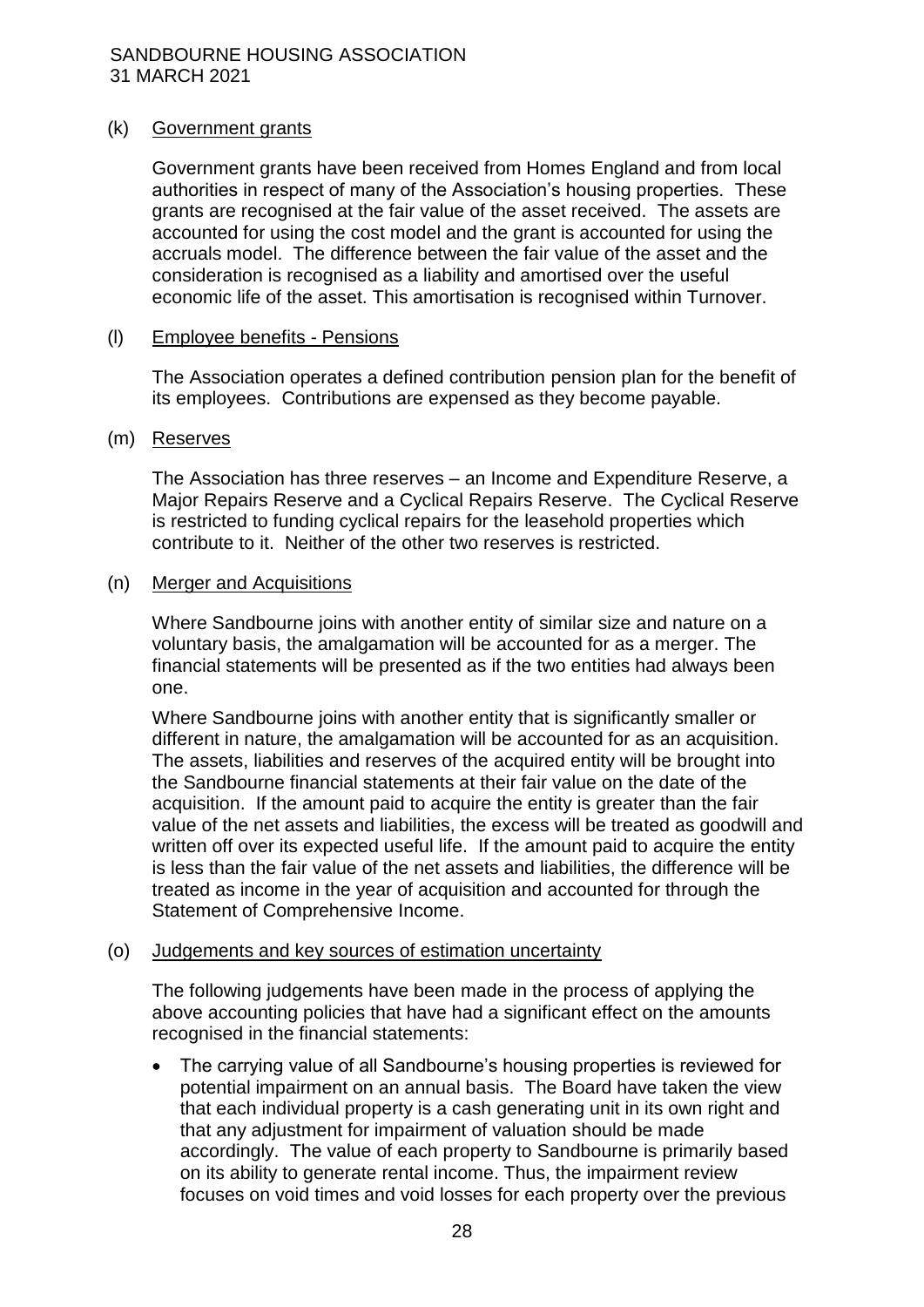#### (k) Government grants

Government grants have been received from Homes England and from local authorities in respect of many of the Association's housing properties. These grants are recognised at the fair value of the asset received. The assets are accounted for using the cost model and the grant is accounted for using the accruals model. The difference between the fair value of the asset and the consideration is recognised as a liability and amortised over the useful economic life of the asset. This amortisation is recognised within Turnover.

#### (l) Employee benefits - Pensions

The Association operates a defined contribution pension plan for the benefit of its employees. Contributions are expensed as they become payable.

#### (m) Reserves

The Association has three reserves – an Income and Expenditure Reserve, a Major Repairs Reserve and a Cyclical Repairs Reserve. The Cyclical Reserve is restricted to funding cyclical repairs for the leasehold properties which contribute to it. Neither of the other two reserves is restricted.

#### (n) Merger and Acquisitions

Where Sandbourne joins with another entity of similar size and nature on a voluntary basis, the amalgamation will be accounted for as a merger. The financial statements will be presented as if the two entities had always been one.

Where Sandbourne joins with another entity that is significantly smaller or different in nature, the amalgamation will be accounted for as an acquisition. The assets, liabilities and reserves of the acquired entity will be brought into the Sandbourne financial statements at their fair value on the date of the acquisition. If the amount paid to acquire the entity is greater than the fair value of the net assets and liabilities, the excess will be treated as goodwill and written off over its expected useful life. If the amount paid to acquire the entity is less than the fair value of the net assets and liabilities, the difference will be treated as income in the year of acquisition and accounted for through the Statement of Comprehensive Income.

#### (o) Judgements and key sources of estimation uncertainty

The following judgements have been made in the process of applying the above accounting policies that have had a significant effect on the amounts recognised in the financial statements:

 The carrying value of all Sandbourne's housing properties is reviewed for potential impairment on an annual basis. The Board have taken the view that each individual property is a cash generating unit in its own right and that any adjustment for impairment of valuation should be made accordingly. The value of each property to Sandbourne is primarily based on its ability to generate rental income. Thus, the impairment review focuses on void times and void losses for each property over the previous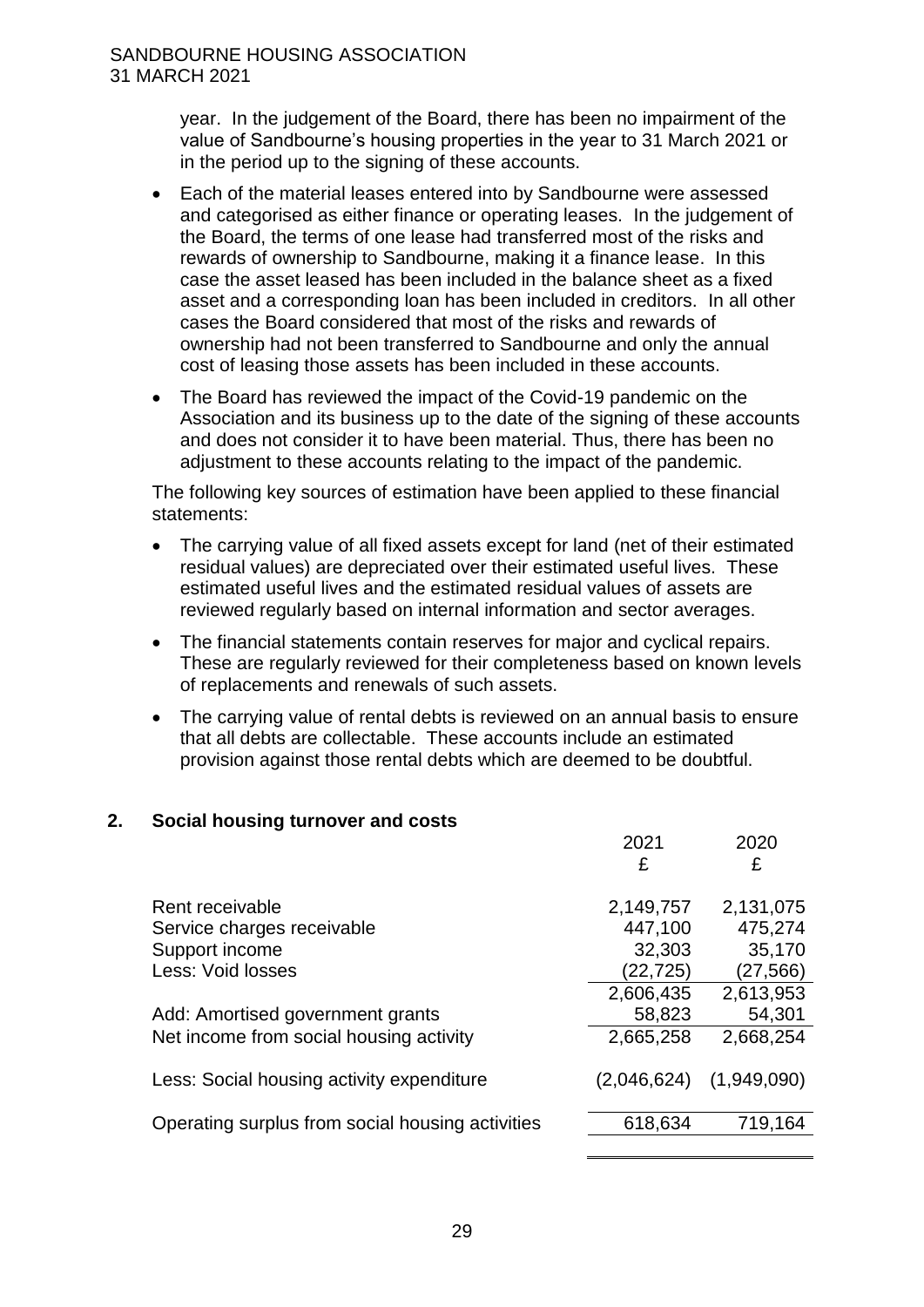year. In the judgement of the Board, there has been no impairment of the value of Sandbourne's housing properties in the year to 31 March 2021 or in the period up to the signing of these accounts.

- Each of the material leases entered into by Sandbourne were assessed and categorised as either finance or operating leases. In the judgement of the Board, the terms of one lease had transferred most of the risks and rewards of ownership to Sandbourne, making it a finance lease. In this case the asset leased has been included in the balance sheet as a fixed asset and a corresponding loan has been included in creditors. In all other cases the Board considered that most of the risks and rewards of ownership had not been transferred to Sandbourne and only the annual cost of leasing those assets has been included in these accounts.
- The Board has reviewed the impact of the Covid-19 pandemic on the Association and its business up to the date of the signing of these accounts and does not consider it to have been material. Thus, there has been no adjustment to these accounts relating to the impact of the pandemic.

The following key sources of estimation have been applied to these financial statements:

- The carrying value of all fixed assets except for land (net of their estimated residual values) are depreciated over their estimated useful lives. These estimated useful lives and the estimated residual values of assets are reviewed regularly based on internal information and sector averages.
- The financial statements contain reserves for major and cyclical repairs. These are regularly reviewed for their completeness based on known levels of replacements and renewals of such assets.
- The carrying value of rental debts is reviewed on an annual basis to ensure that all debts are collectable. These accounts include an estimated provision against those rental debts which are deemed to be doubtful.

#### **2. Social housing turnover and costs**

|                                                  | 2021        | 2020        |
|--------------------------------------------------|-------------|-------------|
|                                                  | £           | £           |
| Rent receivable                                  | 2,149,757   | 2,131,075   |
| Service charges receivable                       | 447,100     | 475,274     |
| Support income                                   | 32,303      | 35,170      |
| Less: Void losses                                | (22, 725)   | (27,566)    |
|                                                  | 2,606,435   | 2,613,953   |
| Add: Amortised government grants                 | 58,823      | 54,301      |
| Net income from social housing activity          | 2,665,258   | 2,668,254   |
| Less: Social housing activity expenditure        | (2,046,624) | (1,949,090) |
| Operating surplus from social housing activities | 618,634     | 719,164     |
|                                                  |             |             |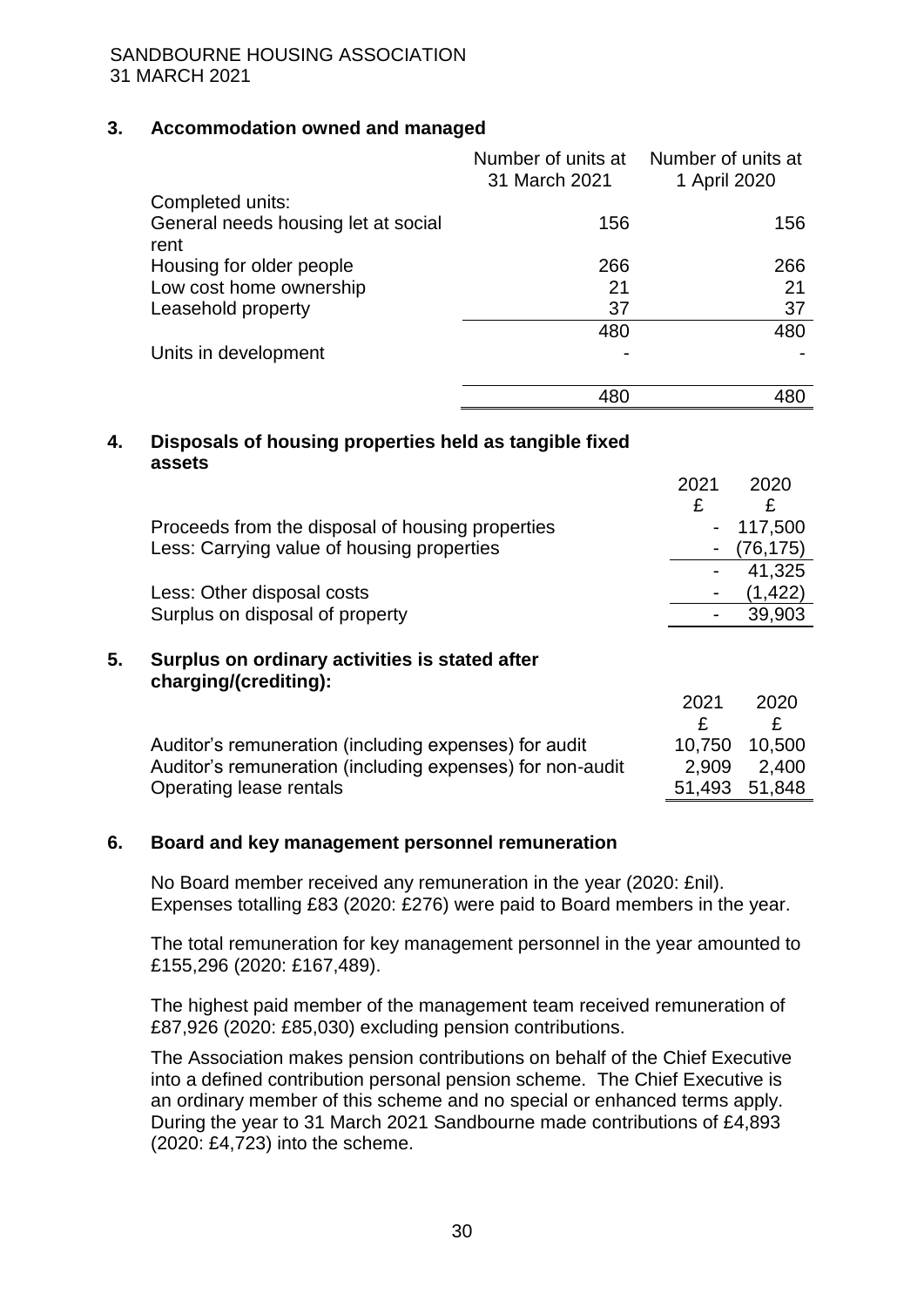# **3. Accommodation owned and managed**

|                                             | Number of units at<br>31 March 2021 | Number of units at<br>1 April 2020 |
|---------------------------------------------|-------------------------------------|------------------------------------|
| Completed units:                            |                                     |                                    |
| General needs housing let at social<br>rent | 156                                 | 156                                |
| Housing for older people                    | 266                                 | 266                                |
| Low cost home ownership                     | 21                                  | 21                                 |
| Leasehold property                          | 37                                  | 37                                 |
|                                             | 480                                 | 480                                |
| Units in development                        |                                     |                                    |
|                                             | 480                                 |                                    |

#### **4. Disposals of housing properties held as tangible fixed assets**

|    |                                                                         | 2021   | 2020     |
|----|-------------------------------------------------------------------------|--------|----------|
|    |                                                                         | £      | £        |
|    | Proceeds from the disposal of housing properties                        |        | 117,500  |
|    | Less: Carrying value of housing properties                              |        | (76,175) |
|    |                                                                         |        | 41,325   |
|    | Less: Other disposal costs                                              |        | (1,422)  |
|    | Surplus on disposal of property                                         |        | 39,903   |
| 5. | Surplus on ordinary activities is stated after<br>charging/(crediting): |        |          |
|    |                                                                         | 2021   | 2020     |
|    |                                                                         | £      | £        |
|    | Auditor's remuneration (including expenses) for audit                   | 10,750 | 10,500   |
|    | Auditor's remuneration (including expenses) for non-audit               | 2,909  | 2,400    |
|    | Operating lease rentals                                                 | 51,493 | 51,848   |

#### **6. Board and key management personnel remuneration**

No Board member received any remuneration in the year (2020: £nil). Expenses totalling £83 (2020: £276) were paid to Board members in the year.

The total remuneration for key management personnel in the year amounted to £155,296 (2020: £167,489).

The highest paid member of the management team received remuneration of £87,926 (2020: £85,030) excluding pension contributions.

The Association makes pension contributions on behalf of the Chief Executive into a defined contribution personal pension scheme. The Chief Executive is an ordinary member of this scheme and no special or enhanced terms apply. During the year to 31 March 2021 Sandbourne made contributions of £4,893 (2020: £4,723) into the scheme.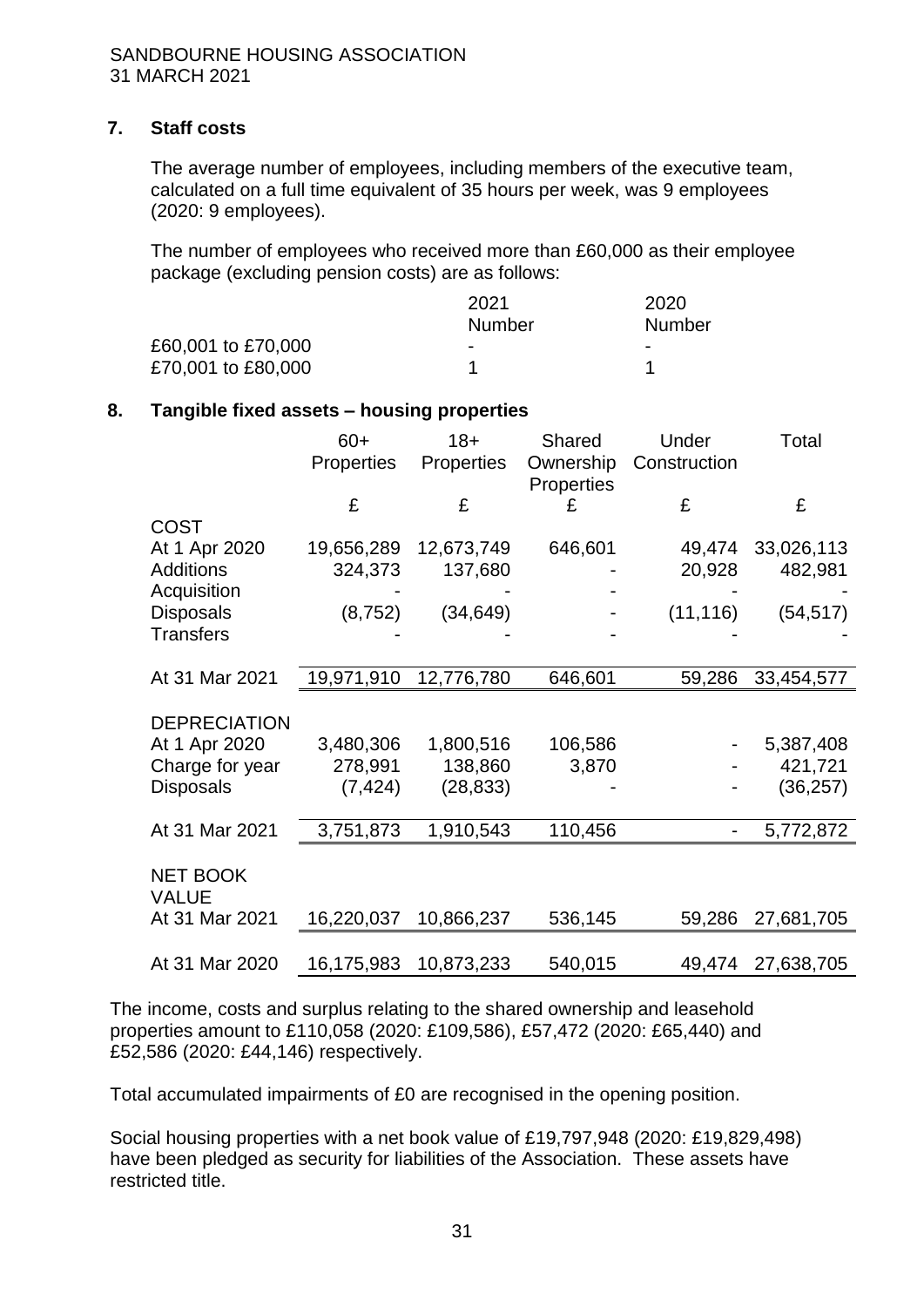# **7. Staff costs**

The average number of employees, including members of the executive team, calculated on a full time equivalent of 35 hours per week, was 9 employees (2020: 9 employees).

The number of employees who received more than £60,000 as their employee package (excluding pension costs) are as follows:

|                    | 2021                     | 2020                     |
|--------------------|--------------------------|--------------------------|
|                    | Number                   | Number                   |
| £60,001 to £70,000 | $\overline{\phantom{0}}$ | $\overline{\phantom{0}}$ |
| £70,001 to £80,000 |                          |                          |

# **8. Tangible fixed assets – housing properties**

|                              | $60+$<br><b>Properties</b> | $18 +$<br>Properties | Shared<br>Ownership | Under<br>Construction | Total      |
|------------------------------|----------------------------|----------------------|---------------------|-----------------------|------------|
|                              |                            |                      | Properties          |                       |            |
|                              | £                          | £                    | £                   | £                     | £          |
| <b>COST</b><br>At 1 Apr 2020 | 19,656,289                 | 12,673,749           | 646,601             | 49,474                | 33,026,113 |
| <b>Additions</b>             | 324,373                    | 137,680              |                     | 20,928                | 482,981    |
| Acquisition                  |                            |                      |                     |                       |            |
| <b>Disposals</b>             | (8, 752)                   | (34, 649)            |                     | (11, 116)             | (54, 517)  |
| <b>Transfers</b>             |                            |                      |                     |                       |            |
|                              |                            |                      |                     |                       |            |
| At 31 Mar 2021               | 19,971,910                 | 12,776,780           | 646,601             | 59,286                | 33,454,577 |
|                              |                            |                      |                     |                       |            |
| <b>DEPRECIATION</b>          |                            |                      |                     |                       |            |
| At 1 Apr 2020                | 3,480,306                  | 1,800,516            | 106,586             |                       | 5,387,408  |
| Charge for year              | 278,991                    | 138,860              | 3,870               |                       | 421,721    |
| <b>Disposals</b>             | (7, 424)                   | (28, 833)            |                     |                       | (36, 257)  |
|                              |                            |                      |                     |                       |            |
| At 31 Mar 2021               | 3,751,873                  | 1,910,543            | 110,456             |                       | 5,772,872  |
| <b>NET BOOK</b>              |                            |                      |                     |                       |            |
| <b>VALUE</b>                 |                            |                      |                     |                       |            |
| At 31 Mar 2021               | 16,220,037                 | 10,866,237           | 536,145             | 59,286                | 27,681,705 |
|                              |                            |                      |                     |                       |            |
| At 31 Mar 2020               | 16,175,983                 | 10,873,233           | 540,015             | 49,474                | 27,638,705 |

The income, costs and surplus relating to the shared ownership and leasehold properties amount to £110,058 (2020: £109,586), £57,472 (2020: £65,440) and £52,586 (2020: £44,146) respectively.

Total accumulated impairments of £0 are recognised in the opening position.

Social housing properties with a net book value of £19,797,948 (2020: £19,829,498) have been pledged as security for liabilities of the Association. These assets have restricted title.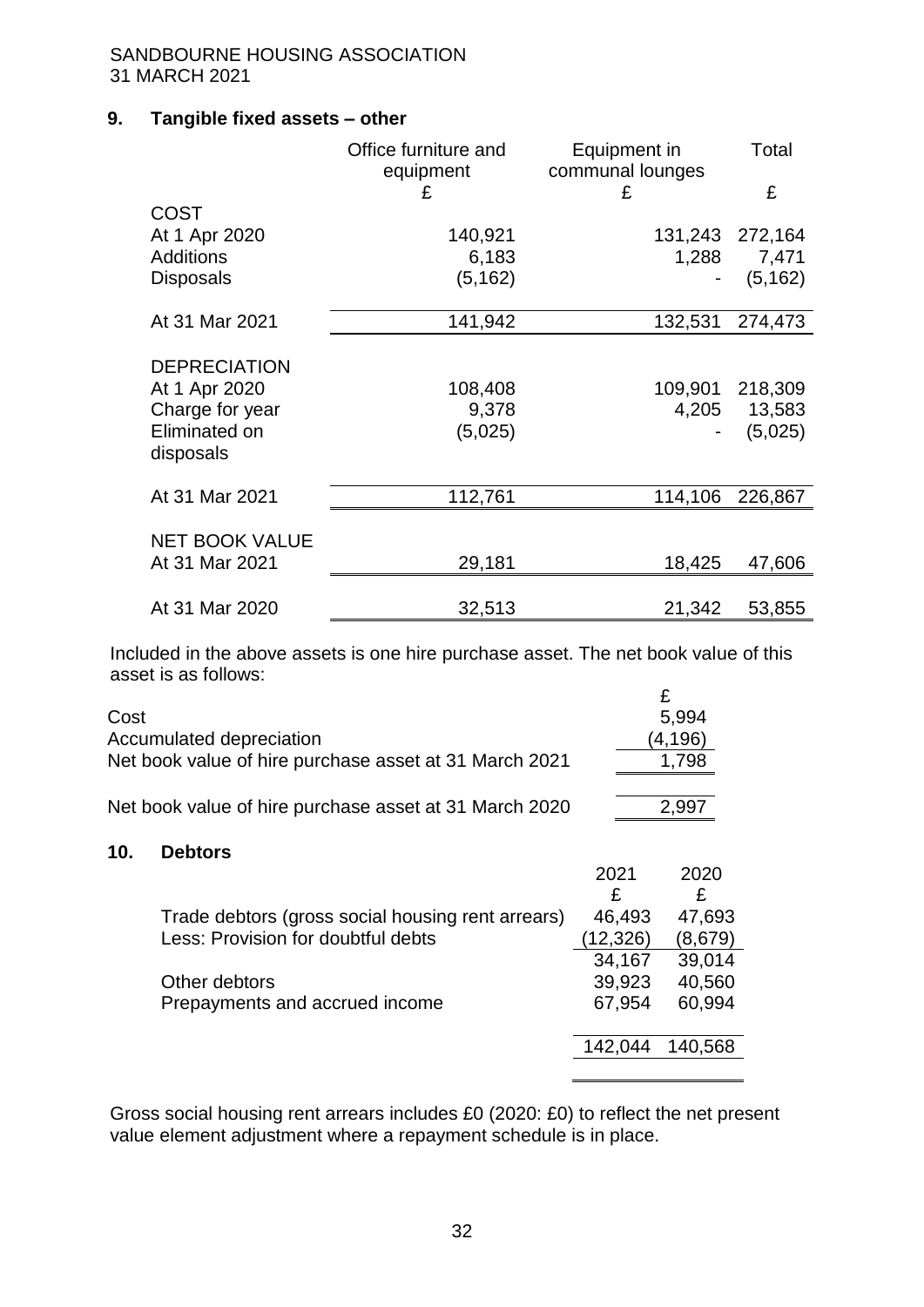# **9. Tangible fixed assets – other**

|                       | Office furniture and<br>equipment<br>£ | Equipment in<br>communal lounges<br>£ | Total<br>£   |
|-----------------------|----------------------------------------|---------------------------------------|--------------|
| <b>COST</b>           |                                        |                                       |              |
| At 1 Apr 2020         | 140,921                                | 131,243                               | 272,164      |
| <b>Additions</b>      | 6,183                                  | 1,288                                 | 7,471        |
| <b>Disposals</b>      | (5, 162)                               |                                       | (5, 162)     |
| At 31 Mar 2021        | 141,942                                | 132,531                               | 274,473      |
|                       |                                        |                                       |              |
| <b>DEPRECIATION</b>   |                                        |                                       |              |
| At 1 Apr 2020         | 108,408                                | 109,901                               | 218,309      |
| Charge for year       | 9,378                                  |                                       | 4,205 13,583 |
| Eliminated on         | (5,025)                                |                                       | (5,025)      |
| disposals             |                                        |                                       |              |
| At 31 Mar 2021        | 112,761                                | 114,106                               | 226,867      |
|                       |                                        |                                       |              |
| <b>NET BOOK VALUE</b> |                                        |                                       |              |
| At 31 Mar 2021        | 29,181                                 | 18,425                                | 47,606       |
|                       |                                        |                                       |              |
| At 31 Mar 2020        | 32,513                                 | 21,342                                | 53,855       |

Included in the above assets is one hire purchase asset. The net book value of this asset is as follows:

| Cost                                                   | 5.994   |
|--------------------------------------------------------|---------|
| Accumulated depreciation                               | (4,196) |
| Net book value of hire purchase asset at 31 March 2021 | 1,798   |
|                                                        |         |
| Net book value of hire purchase asset at 31 March 2020 | 2.997   |

#### **10. Debtors**

|                                                   | 2021<br>£ | 2020<br>£ |
|---------------------------------------------------|-----------|-----------|
| Trade debtors (gross social housing rent arrears) | 46,493    | 47,693    |
| Less: Provision for doubtful debts                | (12, 326) | (8,679)   |
|                                                   | 34,167    | 39,014    |
| Other debtors                                     | 39,923    | 40,560    |
| Prepayments and accrued income                    | 67,954    | 60,994    |
|                                                   |           |           |
|                                                   | 142.044   | 140,568   |
|                                                   |           |           |

Gross social housing rent arrears includes £0 (2020: £0) to reflect the net present value element adjustment where a repayment schedule is in place.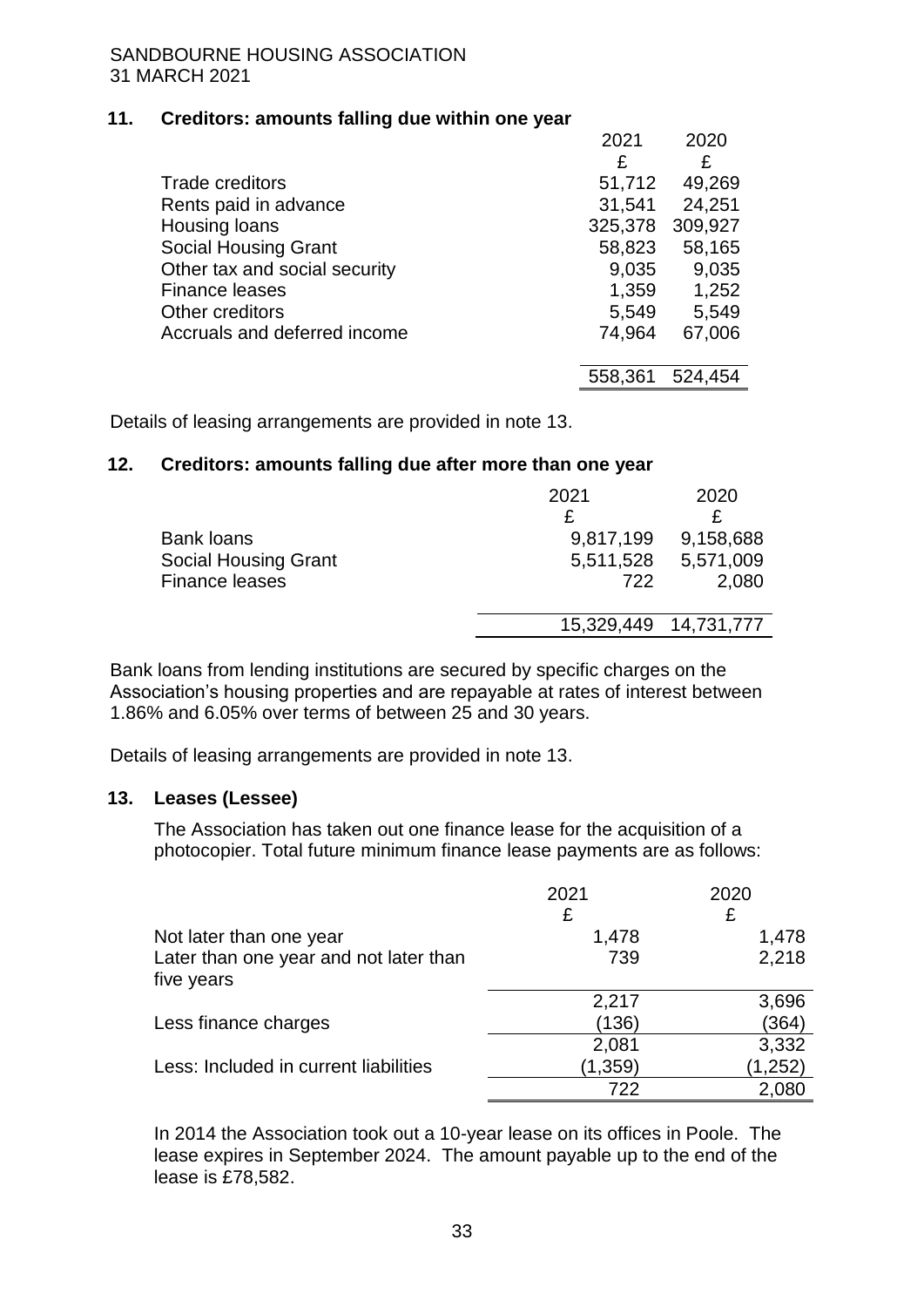#### **11. Creditors: amounts falling due within one year**

|                               | 2021    | 2020    |
|-------------------------------|---------|---------|
|                               | £       | £       |
| <b>Trade creditors</b>        | 51,712  | 49,269  |
| Rents paid in advance         | 31,541  | 24,251  |
| Housing loans                 | 325,378 | 309,927 |
| <b>Social Housing Grant</b>   | 58,823  | 58,165  |
| Other tax and social security | 9,035   | 9,035   |
| <b>Finance leases</b>         | 1,359   | 1,252   |
| Other creditors               | 5,549   | 5,549   |
| Accruals and deferred income  | 74,964  | 67,006  |
|                               |         |         |
|                               | 558,361 | 524,454 |

Details of leasing arrangements are provided in note 13.

# **12. Creditors: amounts falling due after more than one year**

|                             | 2021       | 2020       |
|-----------------------------|------------|------------|
|                             |            |            |
| <b>Bank loans</b>           | 9,817,199  | 9,158,688  |
| <b>Social Housing Grant</b> | 5,511,528  | 5,571,009  |
| <b>Finance leases</b>       | 722        | 2,080      |
|                             |            |            |
|                             | 15,329,449 | 14,731,777 |
|                             |            |            |

Bank loans from lending institutions are secured by specific charges on the Association's housing properties and are repayable at rates of interest between 1.86% and 6.05% over terms of between 25 and 30 years.

Details of leasing arrangements are provided in note 13.

# **13. Leases (Lessee)**

The Association has taken out one finance lease for the acquisition of a photocopier. Total future minimum finance lease payments are as follows:

|                                                      | 2021     | 2020    |
|------------------------------------------------------|----------|---------|
|                                                      | £        | £       |
| Not later than one year                              | 1,478    | 1,478   |
| Later than one year and not later than<br>five years | 739      | 2,218   |
|                                                      | 2,217    | 3,696   |
| Less finance charges                                 | (136)    | (364)   |
|                                                      | 2,081    | 3,332   |
| Less: Included in current liabilities                | (1, 359) | (1,252) |
|                                                      | 722      | 2,080   |

In 2014 the Association took out a 10-year lease on its offices in Poole. The lease expires in September 2024. The amount payable up to the end of the lease is £78,582.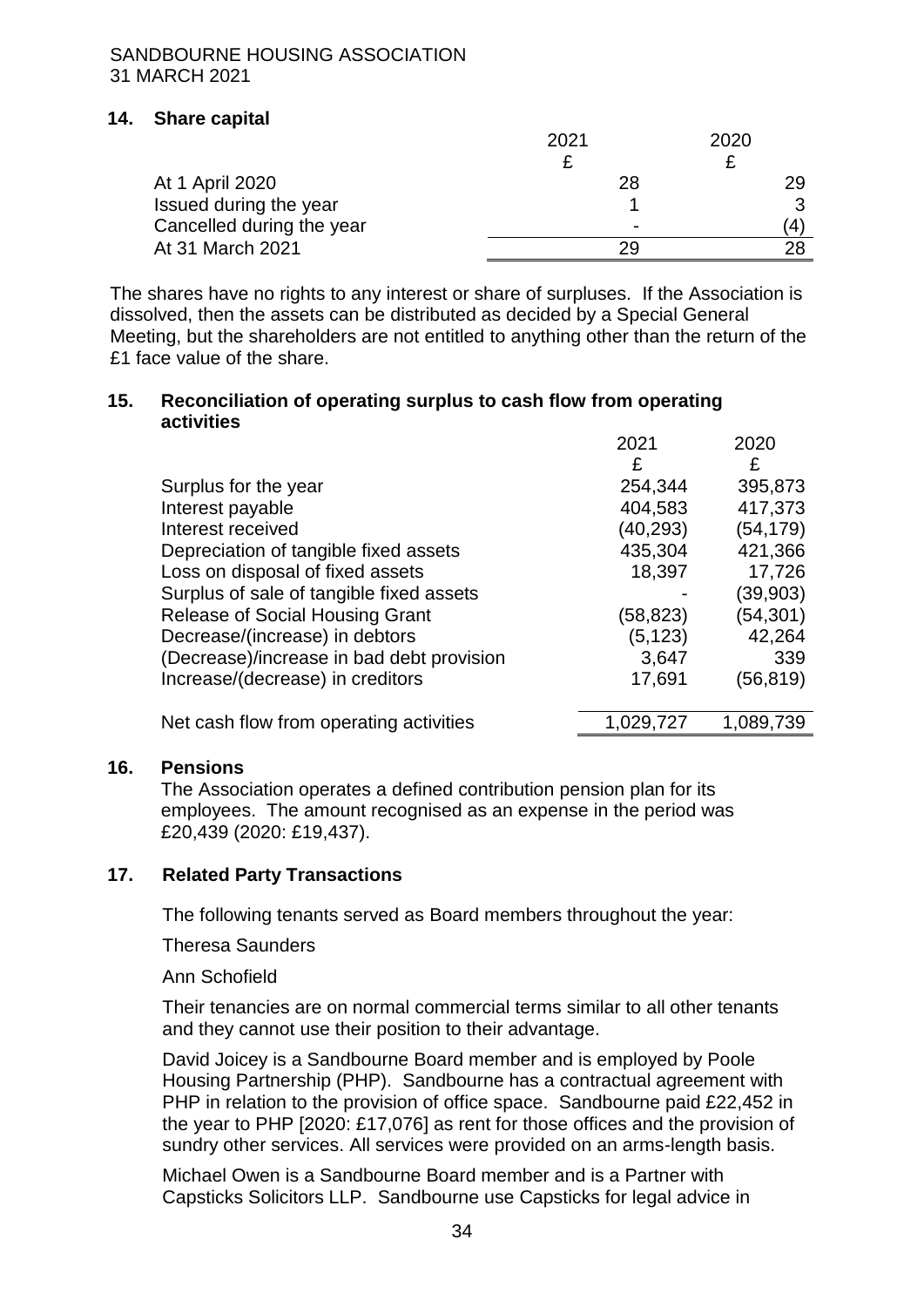# **14. Share capital**

|                           | 2021                     | 2020 |
|---------------------------|--------------------------|------|
|                           |                          |      |
| At 1 April 2020           | 28                       | 29   |
| Issued during the year    |                          |      |
| Cancelled during the year | $\overline{\phantom{0}}$ | 4    |
| At 31 March 2021          |                          |      |

The shares have no rights to any interest or share of surpluses. If the Association is dissolved, then the assets can be distributed as decided by a Special General Meeting, but the shareholders are not entitled to anything other than the return of the £1 face value of the share.

#### **15. Reconciliation of operating surplus to cash flow from operating activities**

|                                           | 2021      | 2020      |
|-------------------------------------------|-----------|-----------|
|                                           | £         | £         |
| Surplus for the year                      | 254,344   | 395,873   |
| Interest payable                          | 404,583   | 417,373   |
| Interest received                         | (40,293)  | (54,179)  |
| Depreciation of tangible fixed assets     | 435,304   | 421,366   |
| Loss on disposal of fixed assets          | 18,397    | 17,726    |
| Surplus of sale of tangible fixed assets  |           | (39,903)  |
| <b>Release of Social Housing Grant</b>    | (58,823)  | (54,301)  |
| Decrease/(increase) in debtors            | (5, 123)  | 42,264    |
| (Decrease)/increase in bad debt provision | 3,647     | 339       |
| Increase/(decrease) in creditors          | 17,691    | (56,819)  |
|                                           |           |           |
| Net cash flow from operating activities   | 1,029,727 | 1,089,739 |

#### **16. Pensions**

The Association operates a defined contribution pension plan for its employees. The amount recognised as an expense in the period was £20,439 (2020: £19,437).

# **17. Related Party Transactions**

The following tenants served as Board members throughout the year:

Theresa Saunders

Ann Schofield

Their tenancies are on normal commercial terms similar to all other tenants and they cannot use their position to their advantage.

David Joicey is a Sandbourne Board member and is employed by Poole Housing Partnership (PHP). Sandbourne has a contractual agreement with PHP in relation to the provision of office space. Sandbourne paid £22,452 in the year to PHP [2020: £17,076] as rent for those offices and the provision of sundry other services. All services were provided on an arms-length basis.

Michael Owen is a Sandbourne Board member and is a Partner with Capsticks Solicitors LLP. Sandbourne use Capsticks for legal advice in